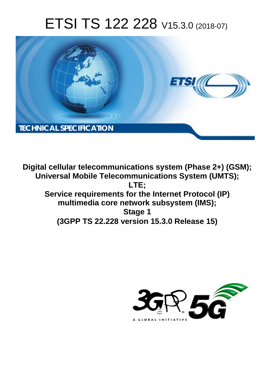# ETSI TS 122 228 V15.3.0 (2018-07)



**Digital cellular telecommunications system (Phase 2+) (GSM); Universal Mobile Telecommunications System (UMTS); LTE; Service requirements for the Internet Protocol (IP) multimedia core network subsystem (IMS); Stage 1 (3GPP TS 22.228 version 15.3.0 Release 15)** 

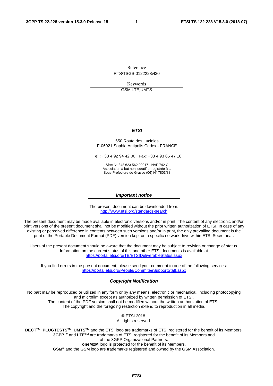Reference RTS/TSGS-0122228vf30

Keywords

GSM,LTE,UMTS

#### *ETSI*

#### 650 Route des Lucioles F-06921 Sophia Antipolis Cedex - FRANCE

Tel.: +33 4 92 94 42 00 Fax: +33 4 93 65 47 16

Siret N° 348 623 562 00017 - NAF 742 C Association à but non lucratif enregistrée à la Sous-Préfecture de Grasse (06) N° 7803/88

#### *Important notice*

The present document can be downloaded from: <http://www.etsi.org/standards-search>

The present document may be made available in electronic versions and/or in print. The content of any electronic and/or print versions of the present document shall not be modified without the prior written authorization of ETSI. In case of any existing or perceived difference in contents between such versions and/or in print, the only prevailing document is the print of the Portable Document Format (PDF) version kept on a specific network drive within ETSI Secretariat.

Users of the present document should be aware that the document may be subject to revision or change of status. Information on the current status of this and other ETSI documents is available at <https://portal.etsi.org/TB/ETSIDeliverableStatus.aspx>

If you find errors in the present document, please send your comment to one of the following services: <https://portal.etsi.org/People/CommiteeSupportStaff.aspx>

#### *Copyright Notification*

No part may be reproduced or utilized in any form or by any means, electronic or mechanical, including photocopying and microfilm except as authorized by written permission of ETSI. The content of the PDF version shall not be modified without the written authorization of ETSI. The copyright and the foregoing restriction extend to reproduction in all media.

> © ETSI 2018. All rights reserved.

**DECT**TM, **PLUGTESTS**TM, **UMTS**TM and the ETSI logo are trademarks of ETSI registered for the benefit of its Members. **3GPP**TM and **LTE**TM are trademarks of ETSI registered for the benefit of its Members and of the 3GPP Organizational Partners. **oneM2M** logo is protected for the benefit of its Members.

**GSM**® and the GSM logo are trademarks registered and owned by the GSM Association.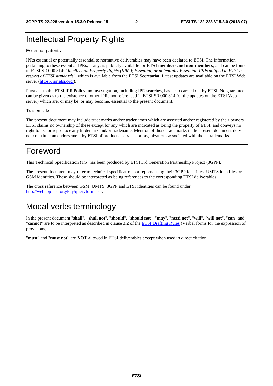### Intellectual Property Rights

#### Essential patents

IPRs essential or potentially essential to normative deliverables may have been declared to ETSI. The information pertaining to these essential IPRs, if any, is publicly available for **ETSI members and non-members**, and can be found in ETSI SR 000 314: *"Intellectual Property Rights (IPRs); Essential, or potentially Essential, IPRs notified to ETSI in respect of ETSI standards"*, which is available from the ETSI Secretariat. Latest updates are available on the ETSI Web server ([https://ipr.etsi.org/\)](https://ipr.etsi.org/).

Pursuant to the ETSI IPR Policy, no investigation, including IPR searches, has been carried out by ETSI. No guarantee can be given as to the existence of other IPRs not referenced in ETSI SR 000 314 (or the updates on the ETSI Web server) which are, or may be, or may become, essential to the present document.

#### **Trademarks**

The present document may include trademarks and/or tradenames which are asserted and/or registered by their owners. ETSI claims no ownership of these except for any which are indicated as being the property of ETSI, and conveys no right to use or reproduce any trademark and/or tradename. Mention of those trademarks in the present document does not constitute an endorsement by ETSI of products, services or organizations associated with those trademarks.

### Foreword

This Technical Specification (TS) has been produced by ETSI 3rd Generation Partnership Project (3GPP).

The present document may refer to technical specifications or reports using their 3GPP identities, UMTS identities or GSM identities. These should be interpreted as being references to the corresponding ETSI deliverables.

The cross reference between GSM, UMTS, 3GPP and ETSI identities can be found under [http://webapp.etsi.org/key/queryform.asp.](http://webapp.etsi.org/key/queryform.asp)

### Modal verbs terminology

In the present document "**shall**", "**shall not**", "**should**", "**should not**", "**may**", "**need not**", "**will**", "**will not**", "**can**" and "**cannot**" are to be interpreted as described in clause 3.2 of the [ETSI Drafting Rules](https://portal.etsi.org/Services/editHelp!/Howtostart/ETSIDraftingRules.aspx) (Verbal forms for the expression of provisions).

"**must**" and "**must not**" are **NOT** allowed in ETSI deliverables except when used in direct citation.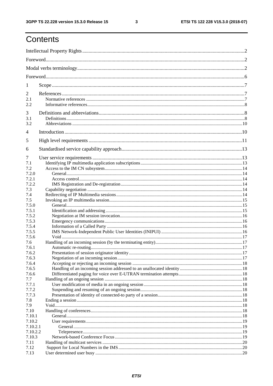# Contents

| 1            |  |  |  |  |  |  |  |  |
|--------------|--|--|--|--|--|--|--|--|
| 2            |  |  |  |  |  |  |  |  |
| 2.1          |  |  |  |  |  |  |  |  |
| 2.2          |  |  |  |  |  |  |  |  |
| 3            |  |  |  |  |  |  |  |  |
| 3.1          |  |  |  |  |  |  |  |  |
| 3.2          |  |  |  |  |  |  |  |  |
| 4            |  |  |  |  |  |  |  |  |
| 5            |  |  |  |  |  |  |  |  |
| 6            |  |  |  |  |  |  |  |  |
|              |  |  |  |  |  |  |  |  |
| 7            |  |  |  |  |  |  |  |  |
| 7.1          |  |  |  |  |  |  |  |  |
| 7.2<br>7.2.0 |  |  |  |  |  |  |  |  |
| 7.2.1        |  |  |  |  |  |  |  |  |
| 7.2.2        |  |  |  |  |  |  |  |  |
| 7.3          |  |  |  |  |  |  |  |  |
| 7.4          |  |  |  |  |  |  |  |  |
| 7.5          |  |  |  |  |  |  |  |  |
| 7.5.0        |  |  |  |  |  |  |  |  |
| 7.5.1        |  |  |  |  |  |  |  |  |
| 7.5.2        |  |  |  |  |  |  |  |  |
| 7.5.3        |  |  |  |  |  |  |  |  |
| 7.5.4        |  |  |  |  |  |  |  |  |
| 7.5.5        |  |  |  |  |  |  |  |  |
| 7.5.6        |  |  |  |  |  |  |  |  |
| 7.6          |  |  |  |  |  |  |  |  |
| 7.6.1        |  |  |  |  |  |  |  |  |
| 7.6.2        |  |  |  |  |  |  |  |  |
| 7.6.3        |  |  |  |  |  |  |  |  |
| 7.6.4        |  |  |  |  |  |  |  |  |
| 7.6.5        |  |  |  |  |  |  |  |  |
| 7.6.6        |  |  |  |  |  |  |  |  |
| 7.7          |  |  |  |  |  |  |  |  |
| 7.7.1        |  |  |  |  |  |  |  |  |
| 7.7.2        |  |  |  |  |  |  |  |  |
| 7.7.3        |  |  |  |  |  |  |  |  |
| 7.8<br>7.9   |  |  |  |  |  |  |  |  |
| 7.10         |  |  |  |  |  |  |  |  |
| 7.10.1       |  |  |  |  |  |  |  |  |
| 7.10.2       |  |  |  |  |  |  |  |  |
| 7.10.2.1     |  |  |  |  |  |  |  |  |
| 7.10.2.2     |  |  |  |  |  |  |  |  |
| 7.10.3       |  |  |  |  |  |  |  |  |
| 7.11         |  |  |  |  |  |  |  |  |
| 7.12         |  |  |  |  |  |  |  |  |
| 7.13         |  |  |  |  |  |  |  |  |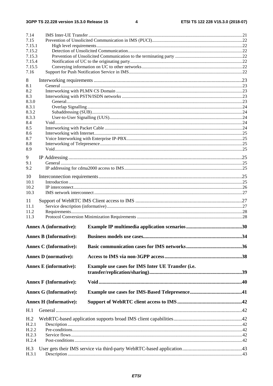| 7.14                          |                                                   |  |  |  |  |  |  |  |  |
|-------------------------------|---------------------------------------------------|--|--|--|--|--|--|--|--|
| 7.15                          |                                                   |  |  |  |  |  |  |  |  |
| 7.15.1                        |                                                   |  |  |  |  |  |  |  |  |
| 7.15.2<br>7.15.3              |                                                   |  |  |  |  |  |  |  |  |
| 7.15.4                        |                                                   |  |  |  |  |  |  |  |  |
| 7.15.5                        |                                                   |  |  |  |  |  |  |  |  |
| 7.16                          |                                                   |  |  |  |  |  |  |  |  |
| 8                             |                                                   |  |  |  |  |  |  |  |  |
| 8.1                           |                                                   |  |  |  |  |  |  |  |  |
| 8.2                           |                                                   |  |  |  |  |  |  |  |  |
| 8.3                           |                                                   |  |  |  |  |  |  |  |  |
| 8.3.0                         |                                                   |  |  |  |  |  |  |  |  |
| 8.3.1<br>8.3.2                |                                                   |  |  |  |  |  |  |  |  |
| 8.3.3                         |                                                   |  |  |  |  |  |  |  |  |
| 8.4                           |                                                   |  |  |  |  |  |  |  |  |
| 8.5                           |                                                   |  |  |  |  |  |  |  |  |
| 8.6                           |                                                   |  |  |  |  |  |  |  |  |
| 8.7<br>8.8                    |                                                   |  |  |  |  |  |  |  |  |
| 8.9                           |                                                   |  |  |  |  |  |  |  |  |
|                               |                                                   |  |  |  |  |  |  |  |  |
| 9<br>9.1                      |                                                   |  |  |  |  |  |  |  |  |
| 9.2                           |                                                   |  |  |  |  |  |  |  |  |
|                               |                                                   |  |  |  |  |  |  |  |  |
| 10<br>10.1                    |                                                   |  |  |  |  |  |  |  |  |
| 10.2                          |                                                   |  |  |  |  |  |  |  |  |
| 10.3                          |                                                   |  |  |  |  |  |  |  |  |
| 11                            |                                                   |  |  |  |  |  |  |  |  |
| 11.1                          |                                                   |  |  |  |  |  |  |  |  |
| 11.2                          |                                                   |  |  |  |  |  |  |  |  |
| 11.3                          |                                                   |  |  |  |  |  |  |  |  |
| <b>Annex A (informative):</b> |                                                   |  |  |  |  |  |  |  |  |
|                               |                                                   |  |  |  |  |  |  |  |  |
| <b>Annex B (Informative):</b> |                                                   |  |  |  |  |  |  |  |  |
| <b>Annex C</b> (Informative): |                                                   |  |  |  |  |  |  |  |  |
| <b>Annex D</b> (normative):   |                                                   |  |  |  |  |  |  |  |  |
|                               |                                                   |  |  |  |  |  |  |  |  |
| <b>Annex E</b> (informative): | Example use cases for IMS Inter UE Transfer (i.e. |  |  |  |  |  |  |  |  |
|                               |                                                   |  |  |  |  |  |  |  |  |
| <b>Annex F (Informative):</b> |                                                   |  |  |  |  |  |  |  |  |
| <b>Annex G (Informative):</b> |                                                   |  |  |  |  |  |  |  |  |
|                               |                                                   |  |  |  |  |  |  |  |  |
| <b>Annex H (Informative):</b> |                                                   |  |  |  |  |  |  |  |  |
| H.1                           |                                                   |  |  |  |  |  |  |  |  |
| H.2                           |                                                   |  |  |  |  |  |  |  |  |
| H.2.1                         |                                                   |  |  |  |  |  |  |  |  |
| H.2.2                         |                                                   |  |  |  |  |  |  |  |  |
| H.2.3<br>H.2.4                |                                                   |  |  |  |  |  |  |  |  |
|                               |                                                   |  |  |  |  |  |  |  |  |
| H.3<br>H.3.1                  |                                                   |  |  |  |  |  |  |  |  |
|                               |                                                   |  |  |  |  |  |  |  |  |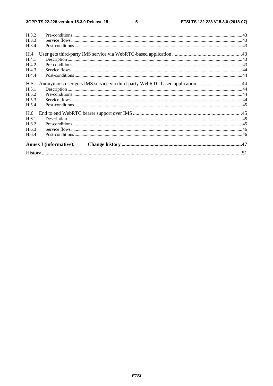| H.3.2 |                                                                            |  |
|-------|----------------------------------------------------------------------------|--|
| H.3.3 |                                                                            |  |
| H.3.4 |                                                                            |  |
| H.4   |                                                                            |  |
| H.4.1 |                                                                            |  |
| H.4.2 |                                                                            |  |
| H.4.3 |                                                                            |  |
| H.4.4 |                                                                            |  |
| H.5   | Anonymous user gets IMS service via third-party WebRTC-based application44 |  |
| H.5.1 |                                                                            |  |
| H.5.2 |                                                                            |  |
| H.5.3 |                                                                            |  |
| H.5.4 |                                                                            |  |
| H.6   |                                                                            |  |
| H.6.1 |                                                                            |  |
| H.6.2 |                                                                            |  |
| H.6.3 |                                                                            |  |
| H.6.4 |                                                                            |  |
|       | <b>Annex I</b> (informative):                                              |  |
|       |                                                                            |  |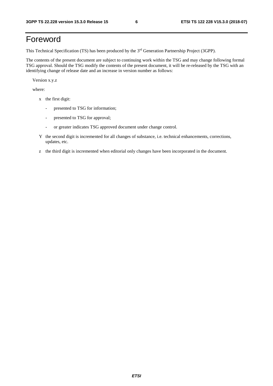# Foreword

This Technical Specification (TS) has been produced by the 3<sup>rd</sup> Generation Partnership Project (3GPP).

The contents of the present document are subject to continuing work within the TSG and may change following formal TSG approval. Should the TSG modify the contents of the present document, it will be re-released by the TSG with an identifying change of release date and an increase in version number as follows:

Version x.y.z

where:

- x the first digit:
	- presented to TSG for information;
	- presented to TSG for approval;
	- or greater indicates TSG approved document under change control.
- Y the second digit is incremented for all changes of substance, i.e. technical enhancements, corrections, updates, etc.
- z the third digit is incremented when editorial only changes have been incorporated in the document.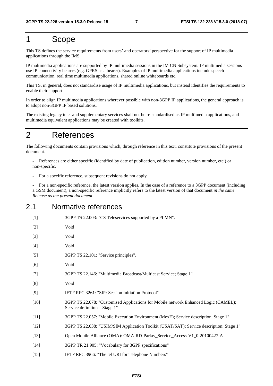### 1 Scope

This TS defines the service requirements from users' and operators' perspective for the support of IP multimedia applications through the IMS.

IP multimedia applications are supported by IP multimedia sessions in the IM CN Subsystem. IP multimedia sessions use IP connectivity bearers (e.g. GPRS as a bearer). Examples of IP multimedia applications include speech communication, real time multimedia applications, shared online whiteboards etc.

This TS, in general, does not standardise usage of IP multimedia applications, but instead identifies the requirements to enable their support.

In order to align IP multimedia applications wherever possible with non-3GPP IP applications, the general approach is to adopt non-3GPP IP based solutions.

The existing legacy tele- and supplementary services shall not be re-standardised as IP multimedia applications, and multimedia equivalent applications may be created with toolkits.

### 2 References

The following documents contain provisions which, through reference in this text, constitute provisions of the present document.

References are either specific (identified by date of publication, edition number, version number, etc.) or non-specific.

For a specific reference, subsequent revisions do not apply.

- For a non-specific reference, the latest version applies. In the case of a reference to a 3GPP document (including a GSM document), a non-specific reference implicitly refers to the latest version of that document *in the same Release as the present document*.

#### 2.1 Normative references

| $[1]$  | 3GPP TS 22.003: "CS Teleservices supported by a PLMN".                                                               |
|--------|----------------------------------------------------------------------------------------------------------------------|
| $[2]$  | Void                                                                                                                 |
| $[3]$  | Void                                                                                                                 |
| $[4]$  | Void                                                                                                                 |
| $[5]$  | 3GPP TS 22.101: "Service principles".                                                                                |
| [6]    | Void                                                                                                                 |
| $[7]$  | 3GPP TS 22.146: "Multimedia Broadcast/Multicast Service; Stage 1"                                                    |
| [8]    | Void                                                                                                                 |
| [9]    | IETF RFC 3261: "SIP: Session Initiation Protocol"                                                                    |
| $[10]$ | 3GPP TS 22.078: "Customised Applications for Mobile network Enhanced Logic (CAMEL);<br>Service definition - Stage 1" |
| $[11]$ | 3GPP TS 22.057: "Mobile Execution Environment (MexE); Service description, Stage 1"                                  |
| $[12]$ | 3GPP TS 22.038: "USIM/SIM Application Toolkit (USAT/SAT); Service description; Stage 1"                              |
| $[13]$ | Open Mobile Alliance (OMA): OMA-RD-Parlay_Service_Access-V1_0-20100427-A                                             |
| $[14]$ | 3GPP TR 21.905: "Vocabulary for 3GPP specifications"                                                                 |
| $[15]$ | IETF RFC 3966: "The tel URI for Telephone Numbers"                                                                   |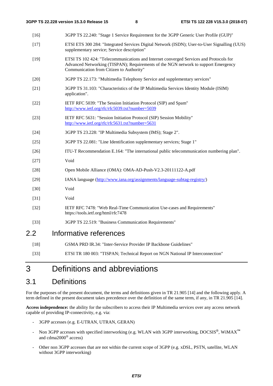- [16] 3GPP TS 22.240: "Stage 1 Service Requirement for the 3GPP Generic User Profile (GUP)"
- [17] ETSI ETS 300 284: "Integrated Services Digital Network (ISDN); User-to-User Signalling (UUS) supplementary service; Service description"
- [19] ETSI TS 102 424: "Telecommunications and Internet converged Services and Protocols for Advanced Networking (TISPAN); Requirements of the NGN network to support Emergency Communication from Citizen to Authority"
- [20] 3GPP TS 22.173: "Multimedia Telephony Service and supplementary services"
- [21] 3GPP TS 31.103: "Characteristics of the IP Multimedia Services Identity Module (ISIM) application".
- [22] IETF RFC 5039: "The Session Initiation Protocol (SIP) and Spam" <http://www.ietf.org/rfc/rfc5039.txt?number=5039>
- [23] IETF RFC 5631: "Session Initiation Protocol (SIP) Session Mobility" <http://www.ietf.org/rfc/rfc5631.txt?number=5631>
- [24] 3GPP TS 23.228: "IP Multimedia Subsystem (IMS); Stage 2".
- [25] 3GPP TS 22.081: "Line Identification supplementary services; Stage 1"
- [26] ITU-T Recommendation E.164: "The international public telecommunication numbering plan".
- [27] Void
- [28] Open Mobile Alliance (OMA): OMA-AD-Push-V2.3-20111122-A.pdf
- [29] IANA language (<http://www.iana.org/assignments/language-subtag-registry/>)
- [30] Void
- [31] Void
- [32] IETF RFC 7478: "Web Real-Time Communication Use-cases and Requirements" https://tools.ietf.org/html/rfc7478
- [33] 3GPP TS 22.519: "Business Communication Requirements"

#### 2.2 Informative references

- [18] GSMA PRD IR.34: "Inter-Service Provider IP Backbone Guidelines"
- [33] ETSI TR 180 003: "TISPAN; Technical Report on NGN National IP Interconnection"

### 3 Definitions and abbreviations

#### 3.1 Definitions

For the purposes of the present document, the terms and definitions given in TR 21.905 [14] and the following apply. A term defined in the present document takes precedence over the definition of the same term, if any, in TR 21.905 [14].

**Access independence:** the ability for the subscribers to access their IP Multimedia services over any access network capable of providing IP-connectivity, e.g. via:

- 3GPP accesses (e.g. E-UTRAN, UTRAN, GERAN)
- Non 3GPP accesses with specified interworking (e.g. WLAN with 3GPP interworking, DOCSIS<sup>®</sup>, WiMAX<sup>™</sup> and cdma2000® access)
- Other non 3GPP accesses that are not within the current scope of 3GPP (e.g. xDSL, PSTN, satellite, WLAN without 3GPP interworking)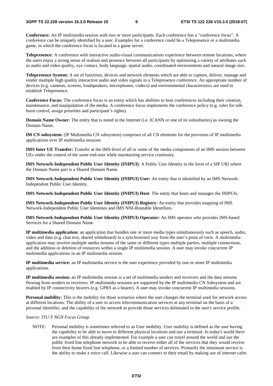**Conference:** An IP multimedia session with two or more participants. Each conference has a "conference focus". A conference can be uniquely identified by a user. Examples for a conference could be a Telepresence or a multimedia game, in which the conference focus is located in a game server.

**Telepresence:** A conference with interactive audio-visual communications experience between remote locations, where the users enjoy a strong sense of realism and presence between all participants by optimizing a variety of attributes such as audio and video quality, eye contact, body language, spatial audio, coordinated environments and natural image size.

**Telepresence System:** A set of functions, devices and network elements which are able to capture, deliver, manage and render multiple high quality interactive audio and video signals in a Telepresence conference. An appropriate number of devices (e.g. cameras, screens, loudspeakers, microphones, codecs) and environmental characteristics are used to establish Telepresence.

**Conference Focus:** The conference focus is an entity which has abilities to host conferences including their creation, maintenance, and manipulation of the media. A conference focus implements the conference policy (e.g. rules for talk burst control, assign priorities and participant's rights).

**Domain Name Owner**: The entity that is noted in the Internet (i.e. ICANN or one of its subsidiaries) as owning the Domain Name.

**IM CN subsystem:** (IP Multimedia CN subsystem) comprises of all CN elements for the provision of IP multimedia applications over IP multimedia sessions

**IMS Inter UE Transfer:** Transfer at the IMS-level of all or some of the media components of an IMS session between UEs under the control of the same end-user while maintaining service continuity.

**IMS Network-Independent Public User Identity (INIPUI)**: A Public User Identity in the form of a SIP URI where the Domain Name part is a Shared Domain Name.

**IMS Network-Independent Public User Identity (INIPUI) User:** An entity that is identified by an IMS Network-Independent Public User Identity.

**IMS Network-Independent Public User Identity (INIPUI) Host**: The entity that hosts and manages the INIPUIs.

**IMS Network-Independent Public User Identity (INIPUI) Registry**: An entity that provides mapping of IMS Network-Independent Public User Identities and IMS NNI-Routable Identifiers.

**IMS Network-Independent Public User Identity (INIPUI) Operator:** An IMS operator who provides IMS-based Services for a Shared Domain Name.

**IP multimedia application:** an application that handles one or more media types simultaneously such as speech, audio, video and data (e.g. chat text, shared whiteboard) in a synchronised way from the user's point of view. A multimedia application may involve multiple media streams of the same or different types multiple parties, multiple connections, and the addition or deletion of resources within a single IP multimedia session. A user may invoke concurrent IP multimedia applications in an IP multimedia session.

**IP multimedia service:** an IP multimedia service is the user experience provided by one or more IP multimedia applications.

**IP multimedia session:** an IP multimedia session is a set of multimedia senders and receivers and the data streams flowing from senders to receivers. IP multimedia sessions are supported by the IP multimedia CN Subsystem and are enabled by IP connectivity bearers (e.g. GPRS as a bearer). A user may invoke concurrent IP multimedia sessions.

**Personal mobility:** This is the mobility for those scenarios where the user changes the terminal used for network access at different locations. The ability of a user to access telecommunication services at any terminal on the basis of a personal identifier, and the capability of the network to provide those services delineated in the user's service profile.

#### *Source: ITU-T NGN Focus Group.*

NOTE: Personal mobility is sometimes referred to as User mobility. User mobility is defined as the user having the capability to be able to move to different physical locations and use a terminal. In today's world there are examples of this already implemented. For example a user can travel around the world and use the public fixed line telephone network to be able to receive either all of the services that they would receive from their home fixed line telephone, or a limited number of services. Primarily the minimum service is the ability to make a voice call. Likewise a user can connect to their email by making use of internet cafes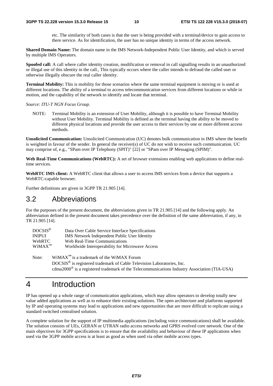etc. The similarity of both cases is that the user is being provided with a terminal/device to gain access to there service. As for identification, the user has no unique identity in terms of the access network.

**Shared Domain Name:** The domain name in the IMS Network-Independent Public User Identity, and which is served by multiple IMS Operators.

**Spoofed call:** A call where caller identity creation, modification or removal in call signalling results in an unauthorized or illegal use of this identity in the call., This typically occurs where the caller intends to defraud the called user or otherwise illegally obscure the real caller identity.

**Terminal Mobility:** This is mobility for those scenarios where the same terminal equipment is moving or is used at different locations. The ability of a terminal to access telecommunication services from different locations or while in motion, and the capability of the network to identify and locate that terminal.

*Source: ITU-T NGN Focus Group.* 

NOTE: Terminal Mobility is an extension of User Mobility, although it is possible to have Terminal Mobility without User Mobility. Terminal Mobility is defined as the terminal having the ability to be moved to different physical locations and provide the user access to their services by one or more different access methods.

**Unsolicited Communication:** Unsolicited Communication (UC) denotes bulk communication in IMS where the benefit is weighted in favour of the sender. In general the receiver(s) of UC do not wish to receive such communication. UC may comprise of, e.g., "SPam over IP Telephony (SPIT)" [22] or "SPam over IP Messaging (SPIM)".

**Web Real-Time Communications (WebRTC):** A set of browser extensions enabling web applications to define realtime services.

**WebRTC IMS client:** A WebRTC client that allows a user to access IMS services from a device that supports a WebRTC-capable browser.

Further definitions are given in 3GPP TR 21.905 [14].

#### 3.2 Abbreviations

For the purposes of the present document, the abbreviations given in TR 21.905 [14] and the following apply. An abbreviation defined in the present document takes precedence over the definition of the same abbreviation, if any, in TR 21.905 [14].

| $DOCSIS^{\circledR}$ | Data Over Cable Service Interface Specifications |
|----------------------|--------------------------------------------------|
| <b>INIPUI</b>        | IMS Network Independent Public User Identity     |
| <b>WebRTC</b>        | Web Real-Time Communications                     |
| $WiMAX^{TM}$         | Worldwide Interoperability for Microwave Access  |

Note: WiMAX<sup>™</sup> is a trademark of the WiMAX Forum DOCSIS® is registered trademark of Cable Television Laboratories, Inc. cdma2000® is a registered trademark of the Telecommunications Industry Association (TIA-USA)

### 4 Introduction

IP has opened up a whole range of communication applications, which may allow operators to develop totally new value added applications as well as to enhance their existing solutions. The open architecture and platforms supported by IP and operating systems may lead to applications and new opportunities that are more difficult to replicate using a standard switched centralised solution.

A complete solution for the support of IP multimedia applications (including voice communications) shall be available. The solution consists of UEs, GERAN or UTRAN radio access networks and GPRS evolved core network. One of the main objectives for 3GPP specifications is to ensure that the availability and behaviour of these IP applications when used via the 3GPP mobile access is at least as good as when used via other mobile access types.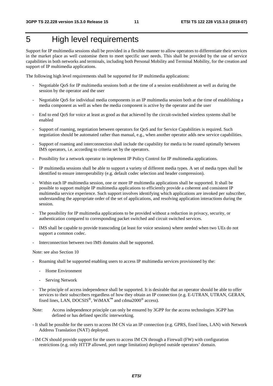# 5 High level requirements

Support for IP multimedia sessions shall be provided in a flexible manner to allow operators to differentiate their services in the market place as well customise them to meet specific user needs. This shall be provided by the use of service capabilities in both networks and terminals, including both Personal Mobility and Terminal Mobility, for the creation and support of IP multimedia applications.

The following high level requirements shall be supported for IP multimedia applications:

- Negotiable QoS for IP multimedia sessions both at the time of a session establishment as well as during the session by the operator and the user
- Negotiable QoS for individual media components in an IP multimedia session both at the time of establishing a media component as well as when the media component is active by the operator and the user
- End to end QoS for voice at least as good as that achieved by the circuit-switched wireless systems shall be enabled
- Support of roaming, negotiation between operators for QoS and for Service Capabilities is required. Such negotiation should be automated rather than manual, e.g., when another operator adds new service capabilities.
- Support of roaming and interconnection shall include the capability for media to be routed optimally between IMS operators, i.e. according to criteria set by the operators.
- Possibility for a network operator to implement IP Policy Control for IP multimedia applications.
- IP multimedia sessions shall be able to support a variety of different media types. A set of media types shall be identified to ensure interoperability (e.g. default codec selection and header compression).
- Within each IP multimedia session, one or more IP multimedia applications shall be supported. It shall be possible to support multiple IP multimedia applications to efficiently provide a coherent and consistent IP multimedia service experience. Such support involves identifying which applications are invoked per subscriber, understanding the appropriate order of the set of applications, and resolving application interactions during the session.
- The possibility for IP multimedia applications to be provided without a reduction in privacy, security, or authentication compared to corresponding packet switched and circuit switched services.
- IMS shall be capable to provide transcoding (at least for voice sessions) where needed when two UEs do not support a common codec.
- Interconnection between two IMS domains shall be supported.

Note: see also Section 10

- Roaming shall be supported enabling users to access IP multimedia services provisioned by the:
	- Home Environment
	- Serving Network
- The principle of access independence shall be supported. It is desirable that an operator should be able to offer services to their subscribers regardless of how they obtain an IP connection (e.g. E-UTRAN, UTRAN, GERAN, fixed lines, LAN, DOCSIS®, WiMAX**™** and cdma2000® access).
- Note: Access independence principle can only be ensured by 3GPP for the access technologies 3GPP has defined or has defined specific interworking.
- It shall be possible for the users to access IM CN via an IP connection (e.g. GPRS, fixed lines, LAN) with Network Address Translation (NAT) deployed.
- IM CN should provide support for the users to access IM CN through a Firewall (FW) with configuration restrictions (e.g. only HTTP allowed, port range limitation) deployed outside operators' domain.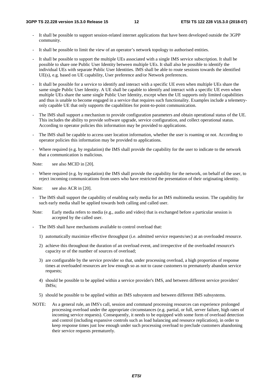- It shall be possible to support session-related internet applications that have been developed outside the 3GPP community.
- It shall be possible to limit the view of an operator's network topology to authorised entities.
- It shall be possible to support the multiple UEs associated with a single IMS service subscription. It shall be possible to share one Public User Identity between multiple UEs. It shall also be possible to identify the individual UEs with separate Public User Identities. IMS shall be able to route sessions towards the identified UE(s), e.g. based on UE capability, User preference and/or Network preferences.
- It shall be possible for a service to identify and interact with a specific UE even when multiple UEs share the same single Public User Identity. A UE shall be capable to identify and interact with a specific UE even when multiple UEs share the same single Public User Identity, except when the UE supports only limited capabilities and thus is unable to become engaged in a service that requires such functionality. Examples include a telemetryonly capable UE that only supports the capabilities for point-to-point communication.
- The IMS shall support a mechanism to provide configuration parameters and obtain operational status of the UE. This includes the ability to provide software upgrade, service configuration, and collect operational status. According to operator policies this information may be provided to applications.
- The IMS shall be capable to access user location information, whether the user is roaming or not. According to operator policies this information may be provided to applications.
- Where required (e.g. by regulation) the IMS shall provide the capability for the user to indicate to the network that a communication is malicious.

Note: see also MCID in [20].

Where required (e.g. by regulation) the IMS shall provide the capability for the network, on behalf of the user, to reject incoming communications from users who have restricted the presentation of their originating identity.

Note: see also ACR in [20].

- The IMS shall support the capability of enabling early media for an IMS multimedia session. The capability for such early media shall be applied towards both calling and called user.
- Note: Early media refers to media (e.g., audio and video) that is exchanged before a particular session is accepted by the called user.
- The IMS shall have mechanisms available to control overload that:
	- 1) automatically maximize effective throughput (i.e. admitted service requests/sec) at an overloaded resource.
	- 2) achieve this throughout the duration of an overload event, and irrespective of the overloaded resource's capacity or of the number of sources of overload;
	- 3) are configurable by the service provider so that, under processing overload, a high proportion of response times at overloaded resources are low enough so as not to cause customers to prematurely abandon service requests;
	- 4) should be possible to be applied within a service provider's IMS, and between different service providers' IMSs;
	- 5) should be possible to be applied within an IMS subsystem and between different IMS subsystems.
- NOTE: As a general rule, an IMS's call, session and command processing resources can experience prolonged processing overload under the appropriate circumstances (e.g. partial, or full, server failure, high rates of incoming service requests). Consequently, it needs to be equipped with some form of overload detection and control (including expansive controls such as load balancing and resource replication), in order to keep response times just low enough under such processing overload to preclude customers abandoning their service requests prematurely.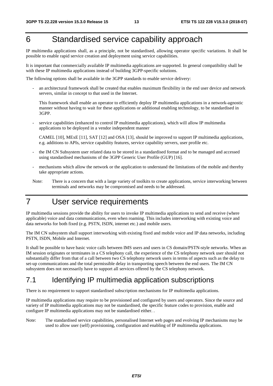# 6 Standardised service capability approach

IP multimedia applications shall, as a principle, not be standardised, allowing operator specific variations. It shall be possible to enable rapid service creation and deployment using service capabilities.

It is important that commercially available IP multimedia applications are supported. In general compatibility shall be with these IP multimedia applications instead of building 3GPP-specific solutions.

The following options shall be available in the 3GPP standards to enable service delivery:

- an architectural framework shall be created that enables maximum flexibility in the end user device and network servers, similar in concept to that used in the Internet.

This framework shall enable an operator to efficiently deploy IP multimedia applications in a network-agnostic manner without having to wait for these applications or additional enabling technology, to be standardised in 3GPP.

service capabilities (enhanced to control IP multimedia applications), which will allow IP multimedia applications to be deployed in a vendor independent manner

CAMEL [10], MExE [11], SAT [12] and OSA [13], should be improved to support IP multimedia applications, e.g. additions to APIs, service capability features, service capability servers, user profile etc.

- the IM CN Subsystem user related data to be stored in a standardised format and to be managed and accessed using standardised mechanisms of the 3GPP Generic User Profile (GUP) [16].
- mechanisms which allow the network or the application to understand the limitations of the mobile and thereby take appropriate actions.
- Note: There is a concern that with a large variety of toolkits to create applications, service interworking between terminals and networks may be compromised and needs to be addressed.

# 7 User service requirements

IP multimedia sessions provide the ability for users to invoke IP multimedia applications to send and receive (where applicable) voice and data communications, even when roaming. This includes interworking with existing voice and data networks for both fixed (e.g. PSTN, ISDN, internet etc.) and mobile users.

The IM CN subsystem shall support interworking with existing fixed and mobile voice and IP data networks, including PSTN, ISDN, Mobile and Internet.

It shall be possible to have basic voice calls between IMS users and users in CS domain/PSTN-style networks. When an IM session originates or terminates in a CS telephony call, the experience of the CS telephony network user should not substantially differ from that of a call between two CS telephony network users in terms of aspects such as the delay to set-up communications and the total permissible delay in transporting speech between the end users. The IM CN subsystem does not necessarily have to support all services offered by the CS telephony network.

### 7.1 Identifying IP multimedia application subscriptions

There is no requirement to support standardised subscription mechanisms for IP multimedia applications.

IP multimedia applications may require to be provisioned and configured by users and operators. Since the source and variety of IP multimedia applications may not be standardised, the specific feature codes to provision, enable and configure IP multimedia applications may not be standardised either. .

Note: The standardised service capabilities, personalised Internet web pages and evolving IP mechanisms may be used to allow user (self) provisioning, configuration and enabling of IP multimedia applications.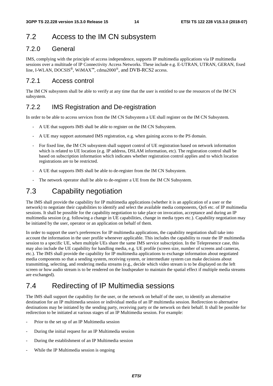### 7.2 Access to the IM CN subsystem

#### 7.2.0 General

IMS, complying with the principle of access independence, supports IP multimedia applications via IP multimedia sessions over a multitude of IP Connectivity Access Networks. These include e.g. E-UTRAN, UTRAN, GERAN, fixed line, I-WLAN, DOCSIS®, WiMAX**™**, cdma2000®, and DVB-RCS2 access.

#### 7.2.1 Access control

The IM CN subsystem shall be able to verify at any time that the user is entitled to use the resources of the IM CN subsystem.

#### 7.2.2 IMS Registration and De-registration

In order to be able to access services from the IM CN Subsystem a UE shall register on the IM CN Subsystem.

- A UE that supports IMS shall be able to register on the IM CN Subsystem.
- A UE may support automated IMS registration, e.g. when gaining access to the PS domain.
- For fixed line, the IM CN subsystem shall support control of UE registration based on network information which is related to UE location (e.g. IP address, DSLAM information, etc). The registration control shall be based on subscription information which indicates whether registration control applies and to which location registrations are to be restricted.
- A UE that supports IMS shall be able to de-register from the IM CN Subsystem.
- The network operator shall be able to de-register a UE from the IM CN Subsystem.

### 7.3 Capability negotiation

The IMS shall provide the capability for IP multimedia applications (whether it is an application of a user or the network) to negotiate their capabilities to identify and select the available media components, QoS etc. of IP multimedia sessions. It shall be possible for the capability negotiation to take place on invocation, acceptance and during an IP multimedia session (e.g. following a change in UE capabilities, change in media types etc.). Capability negotiation may be initiated by the user, operator or an application on behalf of them.

In order to support the user's preferences for IP multimedia applications, the capability negotiation shall take into account the information in the user profile whenever applicable. This includes the capability to route the IP multimedia session to a specific UE, when multiple UEs share the same IMS service subscription. In the Telepresence case, this may also include the UE capability for handling media, e.g. UE profile (screen size, number of screens and cameras, etc.). The IMS shall provide the capability for IP multimedia applications to exchange information about negotiated media components so that a sending system, receiving system, or intermediate system can make decisions about transmitting, selecting, and rendering media streams (e.g., decide which video stream is to be displayed on the left screen or how audio stream is to be rendered on the loudspeaker to maintain the spatial effect if multiple media streams are exchanged).

### 7.4 Redirecting of IP Multimedia sessions

The IMS shall support the capability for the user, or the network on behalf of the user, to identify an alternative destination for an IP multimedia session or individual media of an IP multimedia session. Redirection to alternative destinations may be initiated by the sending party, receiving party or the network on their behalf. It shall be possible for redirection to be initiated at various stages of an IP Multimedia session. For example:

- Prior to the set up of an IP Multimedia session
- During the initial request for an IP Multimedia session
- During the establishment of an IP Multimedia session
- While the IP Multimedia session is ongoing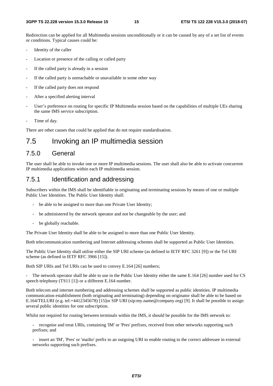Redirection can be applied for all Multimedia sessions unconditionally or it can be caused by any of a set list of events or conditions. Typical causes could be:

- Identity of the caller
- Location or presence of the calling or called party
- If the called party is already in a session
- If the called party is unreachable or unavailable in some other way
- If the called party does not respond
- After a specified alerting interval
- User's preference on routing for specific IP Multimedia session based on the capabilities of multiple UEs sharing the same IMS service subscription.
- Time of day.

There are other causes that could be applied that do not require standardisation.

### 7.5 Invoking an IP multimedia session

#### 7.5.0 General

The user shall be able to invoke one or more IP multimedia sessions. The user shall also be able to activate concurrent IP multimedia applications within each IP multimedia session.

#### 7.5.1 Identification and addressing

Subscribers within the IMS shall be identifiable in originating and terminating sessions by means of one or multiple Public User Identities. The Public User Identity shall:

- be able to be assigned to more than one Private User Identity;
- be administered by the network operator and not be changeable by the user; and
- be globally reachable.

The Private User Identity shall be able to be assigned to more than one Public User Identity.

Both telecommunication numbering and Internet addressing schemes shall be supported as Public User Identities.

The Public User Identity shall utilise either the SIP URI scheme (as defined in IETF RFC 3261 [9]) or the Tel URI scheme (as defined in IETF RFC 3966 [15]).

Both SIP URIs and Tel URIs can be used to convey E.164 [26] numbers;

The network operator shall be able to use in the Public User Identity either the same E.164 [26] number used for CS speech telephony (TS11 [1]) or a different E.164 number.

Both telecom and internet numbering and addressing schemes shall be supported as public identities. IP multimedia communication establishment (both originating and terminating) depending on originator shall be able to be based on E.164/TELURI (e.g. tel:+4412345678) [15]or SIP URI (sip:my.name@company.org) [9]. It shall be possible to assign several public identities for one subscription.

Whilst not required for routing between terminals within the IMS, it should be possible for the IMS network to:

recognise and treat URIs, containing 'IM' or 'Pres' prefixes, received from other networks supporting such prefixes; and

insert an 'IM', 'Pres' or 'mailto' prefix to an outgoing URI to enable routing to the correct addressee in external networks supporting such prefixes.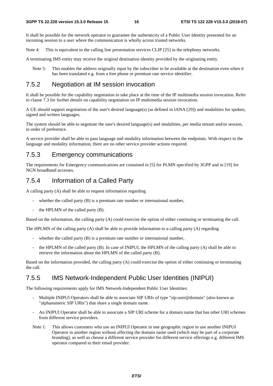It shall be possible for the network operator to guarantee the authenticity of a Public User Identity presented for an incoming session to a user where the communication is wholly across trusted networks.

Note 4: This is equivalent to the calling line presentation services CLIP [25] in the telephony networks.

A terminating IMS entity may receive the original destination identity provided by the originating entity.

Note 5: This enables the address originally input by the subscriber to be available at the destination even when it has been translated e.g. from a free phone or premium rate service identifier.

#### 7.5.2 Negotiation at IM session invocation

It shall be possible for the capability negotiation to take place at the time of the IP multimedia session invocation. Refer to clause 7.3 for further details on capability negotiation on IP multimedia session invocation.

A UE should support negotiation of the user's desired language(s) (as defined in IANA [29]) and modalities for spoken, signed and written languages.

The system should be able to negotiate the user's desired language(s) and modalities, per media stream and/or session, in order of preference.

A service provider shall be able to pass language and modality information between the endpoints. With respect to the language and modality information, there are no other service provider actions required.

#### 7.5.3 Emergency communications

The requirements for Emergency communications are contained in [5] for PLMN specified by 3GPP and in [19] for NGN broadband accesses.

#### 7.5.4 Information of a Called Party

A calling party (A) shall be able to request information regarding

- whether the called party  $(B)$  is a premium rate number or international number,
- the HPLMN of the called party  $(B)$ .

Based on the information, the calling party (A) could exercise the option of either continuing or terminating the call.

The HPLMN of the calling party (A) shall be able to provide information to a calling party (A) regarding

- whether the called party (B) is a premium rate number or international number,
- the HPLMN of the called party (B). In case of INIPUI, the HPLMN of the calling party (A) shall be able to retrieve the information about the HPLMN of the called party (B).

Based on the information provided, the calling party (A) could exercise the option of either continuing or terminating the call.

#### 7.5.5 IMS Network-Independent Public User Identities (INIPUI)

The following requirements apply for IMS Network-Independent Public User Identities:

- Multiple INIPUI Operators shall be able to associate SIP URIs of type "sip:user@domain" (also known as "alphanumeric SIP URIs") that share a single domain name.
- An INIPUI Operator shall be able to associate a SIP URI scheme for a domain name that has other URI schemes from different service providers.
- Note 1: This allows customers who use an INIPUI Operator in one geographic region to use another INIPUI Operator in another region without affecting the domain name used (which may be part of a corporate branding), as well as choose a different service provider for different service offerings e.g. different IMS operator compared to their email provider.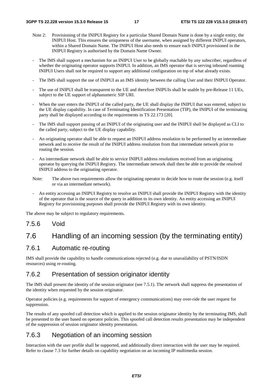- Note 2: Provisioning of the INIPUI Registry for a particular Shared Domain Name is done by a single entity, the INIPUI Host. This ensures the uniqueness of the username, when assigned by different INIPUI operators, within a Shared Domain Name. The INIPUI Host also needs to ensure each INIPUI provisioned in the INIPUI Registry is authorised by the Domain Name Owner.
- The IMS shall support a mechanism for an INIPUI User to be globally reachable by any subscriber, regardless of whether the originating operator supports INIPUI. In addition, an IMS operator that is serving inbound roaming INIPUI Users shall not be required to support any additional configuration on top of what already exists.
- The IMS shall support the use of INIPUI as an IMS identity between the calling User and their INIPUI Operator.
- The use of INIPUI shall be transparent to the UE and therefore INIPUIs shall be usable by pre-Release 11 UEs, subject to the UE support of alphanumeric SIP URI.
- When the user enters the INIPUI of the called party, the UE shall display the INIPUI that was entered, subject to the UE display capability. In case of Terminating Identification Presentation (TIP), the INIPUI of the terminating party shall be displayed according to the requirements in TS 22.173 [20].
- The IMS shall support passing of an INIPUI of the originating user and the INIPUI shall be displayed as CLI to the called party, subject to the UE display capability.
- An originating operator shall be able to request an INIPUI address resolution to be performed by an intermediate network and to receive the result of the INIPUI address resolution from that intermediate network prior to routing the session.
- An intermediate network shall be able to service INIPUI address resolutions received from an originating operator by querying the INIPUI Registry. The intermediate network shall then be able to provide the resolved INIPUI address to the originating operator.
- Note: The above two requirements allow the originating operator to decide how to route the session (e.g. itself or via an intermediate network).
- An entity accessing an INIPUI Registry to resolve an INIPUI shall provide the INIPUI Registry with the identity of the operator that is the source of the query in addition to its own identity. An entity accessing an INIPUI Registry for provisioning purposes shall provide the INIPUI Registry with its own identity.

The above may be subject to regulatory requirements.

#### 7.5.6 Void

### 7.6 Handling of an incoming session (by the terminating entity)

#### 7.6.1 Automatic re-routing

IMS shall provide the capability to handle communications rejected (e.g. due to unavailability of PSTN/ISDN resources) using re-routing.

#### 7.6.2 Presentation of session originator identity

The IMS shall present the identity of the session originator (see 7.5.1). The network shall suppress the presentation of the identity when requested by the session originator.

Operator policies (e.g. requirements for support of emergency communications) may over-ride the user request for suppression.

The results of any spoofed call detection which is applied to the session originator identity by the terminating IMS, shall be presented to the user based on operator policies. This spoofed call detection results presentation may be independent of the suppression of session originator identity presentation.

#### 7.6.3 Negotiation of an incoming session

Interaction with the user profile shall be supported, and additionally direct interaction with the user may be required. Refer to clause 7.3 for further details on capability negotiation on an incoming IP multimedia session.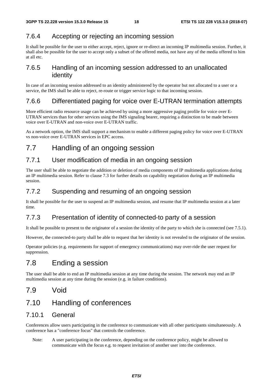#### 7.6.4 Accepting or rejecting an incoming session

It shall be possible for the user to either accept, reject, ignore or re-direct an incoming IP multimedia session. Further, it shall also be possible for the user to accept only a subset of the offered media, not have any of the media offered to him at all etc.

#### 7.6.5 Handling of an incoming session addressed to an unallocated identity

In case of an incoming session addressed to an identity administered by the operator but not allocated to a user or a service, the IMS shall be able to reject, re-route or trigger service logic to that incoming session.

#### 7.6.6 Differentiated paging for voice over E-UTRAN termination attempts

More efficient radio resource usage can be achieved by using a more aggressive paging profile for voice over E-UTRAN services than for other services using the IMS signaling bearer, requiring a distinction to be made between voice over E-UTRAN and non-voice over E-UTRAN traffic.

As a network option, the IMS shall support a mechanism to enable a different paging policy for voice over E-UTRAN vs non-voice over E-UTRAN services in EPC access.

### 7.7 Handling of an ongoing session

#### 7.7.1 User modification of media in an ongoing session

The user shall be able to negotiate the addition or deletion of media components of IP multimedia applications during an IP multimedia session. Refer to clause 7.3 for further details on capability negotiation during an IP multimedia session.

#### 7.7.2 Suspending and resuming of an ongoing session

It shall be possible for the user to suspend an IP multimedia session, and resume that IP multimedia session at a later time.

#### 7.7.3 Presentation of identity of connected-to party of a session

It shall be possible to present to the originator of a session the identity of the party to which she is connected (see 7.5.1).

However, the connected-to party shall be able to request that her identity is not revealed to the originator of the session.

Operator policies (e.g. requirements for support of emergency communications) may over-ride the user request for suppression.

### 7.8 Ending a session

The user shall be able to end an IP multimedia session at any time during the session. The network may end an IP multimedia session at any time during the session (e.g. in failure conditions).

7.9 Void

### 7.10 Handling of conferences

#### 7.10.1 General

Conferences allow users participating in the conference to communicate with all other participants simultaneously. A conference has a "conference focus" that controls the conference.

Note: A user participating in the conference, depending on the conference policy, might be allowed to communicate with the focus e.g. to request invitation of another user into the conference.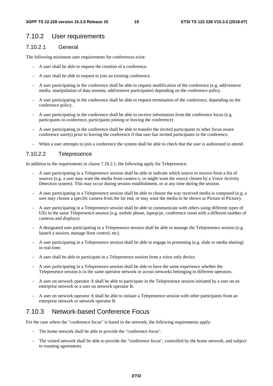#### 7.10.2 User requirements

#### 7.10.2.1 General

The following minimum user requirements for conferences exist:

- A user shall be able to request the creation of a conference.
- A user shall be able to request to join an existing conference.
- A user participating in the conference shall be able to request modification of the conference (e.g. add/remove media, manipulation of data streams, add/remove participants) depending on the conference policy.
- A user participating in the conference shall be able to request termination of the conference, depending on the conference policy.
- A user participating in the conference shall be able to receive information from the conference focus (e.g. participants in conference, participants joining or leaving the conference)
- A user participating in the conference shall be able to transfer the invited participants to other focus aware conference user(s) prior to leaving the conference if that user has invited participants to the conference.
- When a user attempts to join a conference the system shall be able to check that the user is authorized to attend.

#### 7.10.2.2 Telepresence

In addition to the requirements in clause 7.10.2.1, the following apply for Telepresence:

- A user participating in a Telepresence session shall be able to indicate which source to receive from a list of sources (e.g. a user may want the media from camera x, or might want the source chosen by a Voice Activity Detection system). This may occur during session establishment, or at any time during the session.
- A user participating in a Telepresence session shall be able to choose the way received media is composed (e.g. a user may choose a specific camera from the far end, or may want the media to be shown as Picture in Picture).
- A user participating in a Telepresence session shall be able to communicate with others using different types of UEs in the same Telepresence session (e.g. mobile phone, laptop/pc, conference room with a different number of cameras and displays).
- A designated user participating in a Telepresence session shall be able to manage the Telepresence session (e.g. launch a session, manage floor control, etc).
- A user participating in a Telepresence session shall be able to engage in presenting (e.g. slide or media sharing) in real-time.
- A user shall be able to participate in a Telepresence session from a voice only device.
- A user participating in a Telepresence session shall be able to have the same experience whether the Telepresence session is in the same operator network or across networks belonging to different operators.
- A user on network operator A shall be able to participate in the Telepresence session initiated by a user on an enterprise network or a user on network operator B.
- A user on network operator A shall be able to initiate a Telepresence session with other participants from an enterprise network or network operator B.

#### 7.10.3 Network-based Conference Focus

For the case where the "conference focus" is based in the network, the following requirements apply:

- The home network shall be able to provide the "conference focus".
- The visited network shall be able to provide the "conference focus", controlled by the home network, and subject to roaming agreements.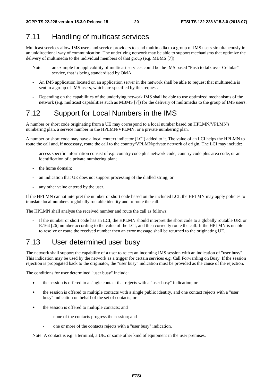## 7.11 Handling of multicast services

Multicast services allow IMS users and service providers to send multimedia to a group of IMS users simultaneously in an unidirectional way of communication. The underlying network may be able to support mechanisms that optimize the delivery of multimedia to the individual members of that group (e.g. MBMS [7])

- Note: an example for applicability of multicast services could be the IMS based "Push to talk over Cellular" service, that is being standardised by OMA.
- An IMS application located on an application server in the network shall be able to request that multimedia is sent to a group of IMS users, which are specified by this request.
- Depending on the capabilities of the underlying network IMS shall be able to use optimized mechanisms of the network (e.g. multicast capabilities such as MBMS [7]) for the delivery of multimedia to the group of IMS users.

### 7.12 Support for Local Numbers in the IMS

A number or short code originating from a UE may correspond to a local number based on HPLMN/VPLMN's numbering plan, a service number in the HPLMN/VPLMN, or a private numbering plan.

A number or short code may have a local context indicator (LCI) added to it. The value of an LCI helps the HPLMN to route the call and, if necessary, route the call to the country/VPLMN/private network of origin. The LCI may include:

- access specific information consist of e.g. country code plus network code, country code plus area code, or an identification of a private numbering plan;
- the home domain;
- an indication that UE does not support processing of the dialled string; or
- any other value entered by the user.

If the HPLMN cannot interpret the number or short code based on the included LCI, the HPLMN may apply policies to translate local numbers to globally routable identity and to route the call.

The HPLMN shall analyse the received number and route the call as follows:

If the number or short code has an LCI, the HPLMN should interpret the short code to a globally routable URI or E.164 [26] number according to the value of the LCI, and then correctly route the call. If the HPLMN is unable to resolve or route the received number then an error message shall be returned to the originating UE.

### 7.13 User determined user busy

The network shall support the capability of a user to reject an incoming IMS session with an indication of "user busy". This indication may be used by the network as a trigger for certain services e.g. Call Forwarding on Busy. If the session rejection is propagated back to the originator, the "user busy" indication must be provided as the cause of the rejection.

The conditions for user determined "user busy" include:

- the session is offered to a single contact that rejects with a "user busy" indication; or
- the session is offered to multiple contacts with a single public identity, and one contact rejects with a "user busy" indication on behalf of the set of contacts; or
- the session is offered to multiple contacts; and
	- none of the contacts progress the session; and
	- one or more of the contacts rejects with a "user busy" indication.

Note: A contact is e.g. a terminal, a UE, or some other kind of equipment in the user premises.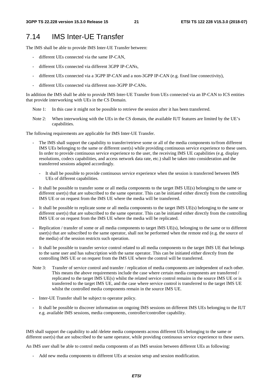#### 7.14 IMS Inter-UE Transfer

The IMS shall be able to provide IMS Inter-UE Transfer between:

- different UEs connected via the same IP-CAN,
- different UEs connected via different 3GPP IP-CANs,
- different UEs connected via a 3GPP IP-CAN and a non-3GPP IP-CAN (e.g. fixed line connectivity),
- different UEs connected via different non-3GPP IP-CANs.

In addition the IMS shall be able to provide IMS Inter-UE Transfer from UEs connected via an IP-CAN to ICS entities that provide interworking with UEs in the CS Domain.

- Note 1: In this case it might not be possible to retrieve the session after it has been transferred.
- Note 2: When interworking with the UEs in the CS domain, the available IUT features are limited by the UE's capabilities.

The following requirements are applicable for IMS Inter-UE Transfer.

- The IMS shall support the capability to transfer/retrieve some or all of the media components to/from different IMS UEs belonging to the same or different user(s) while providing continuous service experience to these users. In order to provide continuous service experience to the user, the receiving IMS UE capabilities (e.g. display resolutions, codecs capabilities, and access network data rate, etc.) shall be taken into consideration and the transferred sessions adapted accordingly.
	- It shall be possible to provide continuous service experience when the session is transferred between IMS UEs of different capabilities.
- It shall be possible to transfer some or all media components to the target IMS UE(s) belonging to the same or different user(s) that are subscribed to the same operator. This can be initiated either directly from the controlling IMS UE or on request from the IMS UE where the media will be transferred.
- It shall be possible to replicate some or all media components to the target IMS UE(s) belonging to the same or different user(s) that are subscribed to the same operator. This can be initiated either directly from the controlling IMS UE or on request from the IMS UE where the media will be replicated.
- Replication / transfer of some or all media components to target IMS UE(s), belonging to the same or to different user(s) that are subscribed to the same operator, shall not be performed when the remote end (e.g. the source of the media) of the session restricts such operation.
- It shall be possible to transfer service control related to all media components to the target IMS UE that belongs to the same user and has subscription with the same operator. This can be initiated either directly from the controlling IMS UE or on request from the IMS UE where the control will be transferred.
- Note 3: Transfer of service control and transfer / replication of media components are independent of each other. This means the above requirements include the case where certain media components are transferred / replicated to the target IMS UE(s) whilst the related service control remains in the source IMS UE or is transferred to the target IMS UE, and the case where service control is transferred to the target IMS UE whilst the controlled media components remain in the source IMS UE.
- Inter-UE Transfer shall be subject to operator policy.
- It shall be possible to discover information on ongoing IMS sessions on different IMS UEs belonging to the IUT e.g. available IMS sessions, media components, controller/controllee capability.

IMS shall support the capability to add /delete media components across different UEs belonging to the same or different user(s) that are subscribed to the same operator, while providing continuous service experience to these users.

An IMS user shall be able to control media components of an IMS session between different UEs as following:

- Add new media components to different UEs at session setup and session modification.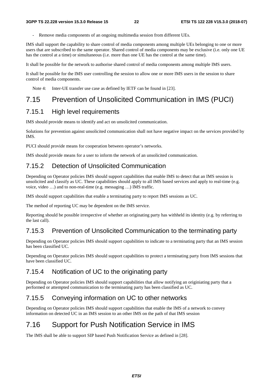Remove media components of an ongoing multimedia session from different UEs.

IMS shall support the capability to share control of media components among multiple UEs belonging to one or more users that are subscribed to the same operator. Shared control of media components may be exclusive (i.e. only one UE has the control at a time) or simultaneous (i.e. more than one UE has the control at the same time).

It shall be possible for the network to authorise shared control of media components among multiple IMS users.

It shall be possible for the IMS user controlling the session to allow one or more IMS users in the session to share control of media components.

Note 4: Inter-UE transfer use case as defined by IETF can be found in [23].

### 7.15 Prevention of Unsolicited Communication in IMS (PUCI)

#### 7.15.1 High level requirements

IMS should provide means to identify and act on unsolicited communication.

Solutions for prevention against unsolicited communication shall not have negative impact on the services provided by IMS.

PUCI should provide means for cooperation between operator's networks.

IMS should provide means for a user to inform the network of an unsolicited communication.

#### 7.15.2 Detection of Unsolicited Communication

Depending on Operator policies IMS should support capabilities that enable IMS to detect that an IMS session is unsolicited and classify as UC. These capabilities should apply to all IMS based services and apply to real-time (e.g. voice, video …) and to non-real-time (e.g. messaging …) IMS traffic.

IMS should support capabilities that enable a terminating party to report IMS sessions as UC.

The method of reporting UC may be dependent on the IMS service.

Reporting should be possible irrespective of whether an originating party has withheld its identity (e.g. by referring to the last call).

### 7.15.3 Prevention of Unsolicited Communication to the terminating party

Depending on Operator policies IMS should support capabilities to indicate to a terminating party that an IMS session has been classified UC.

Depending on Operator policies IMS should support capabilities to protect a terminating party from IMS sessions that have been classified UC.

### 7.15.4 Notification of UC to the originating party

Depending on Operator policies IMS should support capabilities that allow notifying an originiating party that a performed or attempted communication to the terminating party has been classified as UC.

### 7.15.5 Conveying information on UC to other networks

Depending on Operator policies IMS should support capabilities that enable the IMS of a network to convey information on detected UC in an IMS session to an other IMS on the path of that IMS session

### 7.16 Support for Push Notification Service in IMS

The IMS shall be able to support SIP based Push Notification Service as defined in [28].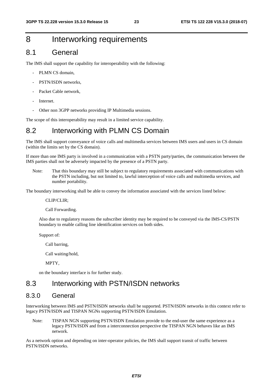### 8 Interworking requirements

#### 8.1 General

The IMS shall support the capability for interoperability with the following:

- PLMN CS domain,
- PSTN/ISDN networks,
- Packet Cable network.
- Internet.
- Other non 3GPP networks providing IP Multimedia sessions.

The scope of this interoperability may result in a limited service capability.

#### 8.2 Interworking with PLMN CS Domain

The IMS shall support conveyance of voice calls and multimedia services between IMS users and users in CS domain (within the limits set by the CS domain).

If more than one IMS party is involved in a communication with a PSTN party/parties, the communication between the IMS parties shall not be adversely impacted by the presence of a PSTN party.

Note: That this boundary may still be subject to regulatory requirements associated with communications with the PSTN including, but not limited to, lawful interception of voice calls and multimedia services, and number portability.

The boundary interworking shall be able to convey the information associated with the services listed below:

CLIP/CLIR;

Call Forwarding.

Also due to regulatory reasons the subscriber identity may be required to be conveyed via the IMS-CS/PSTN boundary to enable calling line identification services on both sides.

Support of:

Call barring,

Call waiting/hold,

MPTY,

on the boundary interface is for further study.

#### 8.3 Interworking with PSTN/ISDN networks

#### 8.3.0 General

Interworking between IMS and PSTN/ISDN networks shall be supported. PSTN/ISDN networks in this context refer to legacy PSTN/ISDN and TISPAN NGNs supporting PSTN/ISDN Emulation.

Note: TISPAN NGN supporting PSTN/ISDN Emulation provide to the end-user the same experience as a legacy PSTN/ISDN and from a interconnection perspective the TISPAN NGN behaves like an IMS network.

As a network option and depending on inter-operator policies, the IMS shall support transit of traffic between PSTN/ISDN networks.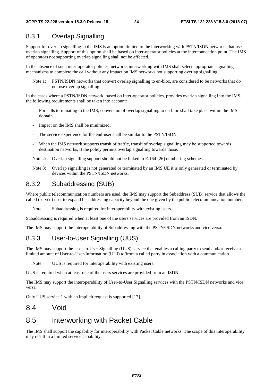#### 8.3.1 Overlap Signalling

Support for overlap signalling in the IMS is an option limited to the interworking with PSTN/ISDN networks that use overlap signalling. Support of this option shall be based on inter-operator policies at the interconnection point. The IMS of operators not supporting overlap signalling shall not be affected.

In the absence of such inter-operator policies, networks interworking with IMS shall select appropriate signalling mechanisms to complete the call without any impact on IMS networks not supporting overlap signalling..

Note 1: PSTN/ISDN networks that convert overlap signalling to en-bloc, are considered to be networks that do not use overlap signalling.

In the cases where a PSTN/ISDN network, based on inter-operator policies, provides overlap signalling into the IMS, the following requirements shall be taken into account:

- For calls terminating in the IMS, conversion of overlap signalling to en-bloc shall take place within the IMS domain.
- Impact on the IMS shall be minimized.
- The service experience for the end-user shall be similar to the PSTN/ISDN.
- When the IMS network supports transit of traffic, transit of overlap signalling may be supported towards destination networks, if the policy permits overlap signalling towards those.
- Note 2: Overlap signalling support should not be linked to E.164 [26] numbering schemes.
- Note 3: Overlap signalling is not generated or terminated by an IMS UE it is only generated or terminated by devices within the PSTN/ISDN networks.

#### 8.3.2 Subaddressing (SUB)

Where public telecommunication numbers are used, the IMS may support the Subaddress (SUB) service that allows the called (served) user to expand his addressing capacity beyond the one given by the public telecommunication number.

Note: Subaddressing is required for interoperability with existing users.

Subaddressing is required when at least one of the users services are provided from an ISDN.

The IMS may support the interoperability of Subaddressing with the PSTN/ISDN networks and vice versa.

#### 8.3.3 User-to-User Signalling (UUS)

The IMS may support the User-to-User Signalling (UUS) service that enables a calling party to send and/or receive a limited amount of User-to-User-Information (UUI) to/from a called party in association with a communication.

Note: UUS is required for interoperability with existing users.

UUS is required when at least one of the users services are provided from an ISDN.

The IMS may support the interoperability of User-to-User Signalling services with the PSTN/ISDN networks and vice versa.

Only UUS service 1 with an implicit request is supported [17].

#### 8.4 Void

#### 8.5 Interworking with Packet Cable

The IMS shall support the capability for interoperability with Packet Cable networks. The scope of this interoperability may result in a limited service capability.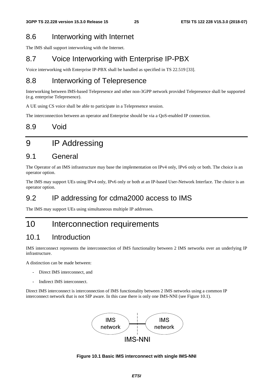### 8.6 Interworking with Internet

The IMS shall support interworking with the Internet.

### 8.7 Voice Interworking with Enterprise IP-PBX

Voice interworking with Enterprise IP-PBX shall be handled as specified in TS 22.519 [33].

### 8.8 Interworking of Telepresence

Interworking between IMS-based Telepresence and other non-3GPP network provided Telepresence shall be supported (e.g. enterprise Telepresence).

A UE using CS voice shall be able to participate in a Telepresence session.

The interconnection between an operator and Enterprise should be via a QoS-enabled IP connection.

### 8.9 Void

# 9 IP Addressing

#### 9.1 General

The Operator of an IMS infrastructure may base the implementation on IPv4 only, IPv6 only or both. The choice is an operator option.

The IMS may support UEs using IPv4 only, IPv6 only or both at an IP-based User-Network Interface. The choice is an operator option.

### 9.2 IP addressing for cdma2000 access to IMS

The IMS may support UEs using simultaneous multiple IP addresses.

### 10 Interconnection requirements

### 10.1 Introduction

IMS interconnect represents the interconnection of IMS functionality between 2 IMS networks over an underlying IP infrastructure.

A distinction can be made between:

- Direct IMS interconnect, and
- Indirect IMS interconnect.

Direct IMS interconnect is interconnection of IMS functionality between 2 IMS networks using a common IP interconnect network that is not SIP aware. In this case there is only one IMS-NNI (see Figure 10.1).



#### **Figure 10.1 Basic IMS interconnect with single IMS-NNI**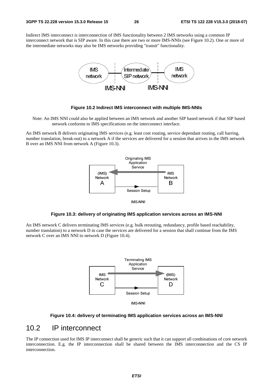Indirect IMS interconnect is interconnection of IMS functionality between 2 IMS networks using a common IP interconnect network that is SIP aware. In this case there are two or more IMS-NNIs (see Figure 10.2). One or more of the intermediate networks may also be IMS networks providing "transit" functionality.



#### **Figure 10.2 Indirect IMS interconnect with multiple IMS-NNIs**

Note: An IMS NNI could also be applied between an IMS network and another SIP based network if that SIP based network conforms to IMS specifications on the interconnect interface.

An IMS network B delivers originating IMS services (e.g. least cost routing, service dependant routing, call barring, number translation, break-out) to a network A if the services are delivered for a session that arrives in the IMS network B over an IMS NNI from network A (Figure 10.3).



IMS-NNI

#### **Figure 10.3: delivery of originating IMS application services across an IMS-NNI**

An IMS network C delivers terminating IMS services (e.g. bulk rerouting, redundancy, profile based reachability, number translation) to a network D in case the services are delivered for a session that shall continue from the IMS network C over an IMS NNI to network D (Figure 10.4).





#### **Figure 10.4: delivery of terminating IMS application services across an IMS-NNI**

#### 10.2 IP interconnect

The IP connection used for IMS IP interconnect shall be generic such that it can support all combinations of core network interconnection. E.g. the IP interconnection shall be shared between the IMS interconnection and the CS IP interconnection.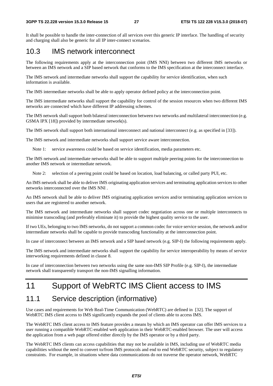It shall be possible to handle the inter-connection of all services over this generic IP interface. The handling of security and charging shall also be generic for all IP inter-connect scenarios.

#### 10.3 IMS network interconnect

The following requirements apply at the interconnection point (IMS NNI) between two different IMS networks or between an IMS network and a SIP based network that conforms to the IMS specification at the interconnect interface.

The IMS network and intermediate networks shall support the capability for service identification, when such information is available.

The IMS intermediate networks shall be able to apply operator defined policy at the interconnection point.

The IMS intermediate networks shall support the capability for control of the session resources when two different IMS networks are connected which have different IP addressing schemes.

The IMS network shall support both bilateral interconnection between two networks and multilateral interconnection (e.g. GSMA IPX [18]) provided by intermediate network(s).

The IMS network shall support both international interconnect and national interconnect (e.g. as specified in [33]).

The IMS network and intermediate networks shall support service aware interconnection.

Note 1: service awareness could be based on service identification, media parameters etc.

The IMS network and intermediate networks shall be able to support multiple peering points for the interconnection to another IMS network or intermediate network.

Note 2: selection of a peering point could be based on location, load balancing, or called party PUI, etc.

An IMS network shall be able to deliver IMS originating application services and terminating application services to other networks interconnected over the IMS NNI .

An IMS network shall be able to deliver IMS originating application services and/or terminating application services to users that are registered to another network.

The IMS network and intermediate networks shall support codec negotiation across one or multiple interconnects to minimise transcoding (and preferably eliminate it) to provide the highest quality service to the user.

If two UEs, belonging to two IMS networks, do not support a common codec for voice service session, the network and/or intermediate networks shall be capable to provide transcoding functionality at the interconnection point.

In case of interconnect between an IMS network and a SIP based network (e.g. SIP-I) the following requirements apply.

The IMS network and intermediate networks shall support the capability for service interoperability by means of service interworking requirements defined in clause 8.

In case of interconnection between two networks using the same non-IMS SIP Profile (e.g. SIP-I), the intermediate network shall transparently transport the non-IMS signalling information.

# 11 Support of WebRTC IMS Client access to IMS

#### 11.1 Service description (informative)

Use cases and requirements for Web Real-Time Communication (WebRTC) are defined in [32]. The support of WebRTC IMS client access to IMS significantly expands the pool of clients able to access IMS.

The WebRTC IMS client access to IMS feature provides a means by which an IMS operator can offer IMS services to a user running a compatible WebRTC-enabled web application in their WebRTC-enabled browser. The user will access the application from a web page offered either directly by the IMS operator or by a third party.

The WebRTC IMS clients can access capabilities that may not be available in IMS, including use of WebRTC media capabilities without the need to convert to/from IMS protocols and end to end WebRTC security, subject to regulatory constraints. For example, in situations where data communications do not traverse the operator network, WebRTC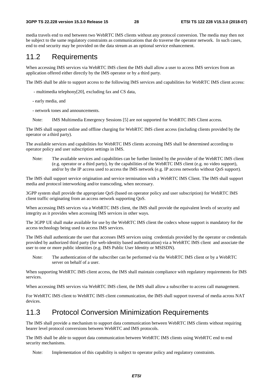media travels end to end between two WebRTC IMS clients without any protocol conversion. The media may then not be subject to the same regulatory constraints as communications that do traverse the operator network. In such cases, end to end security may be provided on the data stream as an optional service enhancement.

#### 11.2 Requirements

When accessing IMS services via WebRTC IMS client the IMS shall allow a user to access IMS services from an application offered either directly by the IMS operator or by a third party.

The IMS shall be able to support access to the following IMS services and capabilities for WebRTC IMS client access:

- multimedia telephony[20], excluding fax and CS data,
- early media, and
- network tones and announcements.
- Note: IMS Multimedia Emergency Sessions [5] are not supported for WebRTC IMS Client access.

The IMS shall support online and offline charging for WebRTC IMS client access (including clients provided by the operator or a third party).

The available services and capabilities for WebRTC IMS clients accessing IMS shall be determined according to operator policy and user subscription settings in IMS.

Note: The available services and capabilities can be further limited by the provider of the WebRTC IMS client (e.g. operator or a third party), by the capabilities of the WebRTC IMS client (e.g. no video support), and/or by the IP access used to access the IMS network (e.g. IP access networks without QoS support).

The IMS shall support service origination and service termination with a WebRTC IMS Client. The IMS shall support media and protocol interworking and/or transcoding, when necessary.

3GPP system shall provide the appropriate QoS (based on operator policy and user subscription) for WebRTC IMS client traffic originating from an access network supporting QoS.

When accessing IMS services via a WebRTC IMS client, the IMS shall provide the equivalent levels of security and integrity as it provides when accessing IMS services in other ways.

The 3GPP UE shall make available for use by the WebRTC IMS client the codecs whose support is mandatory for the access technology being used to access IMS services.

The IMS shall authenticate the user that accesses IMS services using credentials provided by the operator or credentials provided by authorized third party (for web-identity based authentication) via a WebRTC IMS client and associate the user to one or more public identities (e.g. IMS Public User Identity or MSISDN).

Note: The authentication of the subscriber can be performed via the WebRTC IMS client or by a WebRTC server on behalf of a user.

When supporting WebRTC IMS client access, the IMS shall maintain compliance with regulatory requirements for IMS services.

When accessing IMS services via WebRTC IMS client, the IMS shall allow a subscriber to access call management.

For WebRTC IMS client to WebRTC IMS client communication, the IMS shall support traversal of media across NAT devices.

#### 11.3 Protocol Conversion Minimization Requirements

The IMS shall provide a mechanism to support data communication between WebRTC IMS clients without requiring bearer level protocol conversions between WebRTC and IMS protocols.

The IMS shall be able to support data communication between WebRTC IMS clients using WebRTC end to end security mechanisms.

Note: Implementation of this capability is subject to operator policy and regulatory constraints.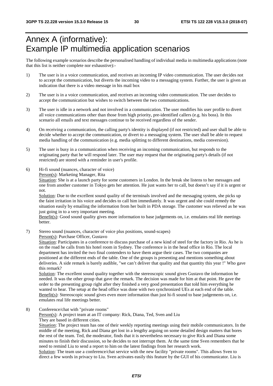# Annex A (informative): Example IP multimedia application scenarios

The following example scenarios describe the personalised handling of individual media in multimedia applications (note that this list is neither complete nor exhaustive):-

- 1) The user is in a voice communication, and receives an incoming IP video communication. The user decides not to accept the communication, but diverts the incoming video to a messaging system. Further, the user is given an indication that there is a video message in his mail box
- 2) The user is in a voice communication, and receives an incoming video communication. The user decides to accept the communication but wishes to switch between the two communications.
- 3) The user is idle in a network and not involved in a communication. The user modifies his user profile to divert all voice communications other than those from high priority, pre-identified callers (e.g. his boss). In this scenario all emails and text messages continue to be received regardless of the sender.
- 4) On receiving a communication, the calling party's identity is displayed (if not restricted) and user shall be able to decide whether to accept the communication, or divert to a messaging system. The user shall be able to request media handling of the communication (e.g. media splitting to different destinations, media conversion).
- 5) The user is busy in a communication when receiving an incoming communication, but responds to the originating party that he will respond later. The user may request that the originating party's details (if not restricted) are stored with a reminder in user's profile.
- 6) Hi-fi sound (nuances, character of voice) Person(s): Marketing Manager, Rita

Situation: She is at a launch party for some customers in London. In the break she listens to her messages and one from another customer in Tokyo gets her attention. He just wants her to call, but doesn't say if it is urgent or not.

Solution: Due to the excellent sound quality of the terminals involved and the messaging system, she picks up the faint irritation in his voice and decides to call him immediately. It was urgent and she could remedy the situation easily by emailing the information from her built in PDA storage. The customer was relieved as he was just going in to a very important meeting.

Benefit(s): Good sound quality gives more information to base judgements on, i.e. emulates real life meetings better.

7) Stereo sound (nuances, character of voice plus positions, sound-scapes) Person(s): Purchase Officer, Gustavo

Situation: Participates in a conference to discuss purchase of a new kind of steel for the factory in Rio. As he is on the road he calls from his hotel room in Sydney. The conference is in the head office in Rio. The local department has invited the two final contenders to have them argue their cases. The two companies are positioned at the different ends of the table. One of the groups is presenting and mentions something about deliveries. A side remark is barely audible, "we can't deliver that quality and that quantity this year !" Who gave this remark?

Solution: The excellent sound quality together with the stereoscopic sound gives Gustavo the information he needed. It was the other group that gave the remark. The decision was made for him at that point. He gave the order to the presenting group right after they finished a very good presentation that told him everything he wanted to hear. The setup at the head office was done with two synchronized UEs at each end of the table. Benefit(s): Stereoscopic sound gives even more information than just hi-fi sound to base judgements on, i.e. emulates real life meetings better.

8) Conference/chat with "private rooms"

Person(s): A project team at an IT company: Rick, Diana, Ted, Sven and Liu They are based in different cities.

Situation: The project team has one of their weekly reporting meetings using their mobile communicators. In the middle of the meeting, Rick and Diana get lost in a lengthy arguing on some detailed design matters that bores the rest of the team. Ted, the moderator, finds that it is nevertheless necessary to give Rick and Diana some minutes to finish their discussion, so he decides to not interrupt them. At the same time Sven remembers that he need to remind Liu to send a report to him on the latest findings from her research work.

Solution: The team use a conference/chat service with the new facility "private rooms". This allows Sven to direct a few words in privacy to Liu. Sven activates easily this feature by the GUI of his communicator. Liu is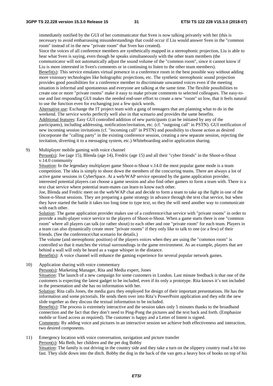immediately notified by the GUI of her communicator that Sven is now talking privately with her (this is necessary to avoid embarrassing misunderstandings that could occur if Liu would answer Sven in the "common room" instead of in the new "private room" that Sven has created).

Since the voices of all conference members are synthetically mapped in a stereophonic projection, Liu is able to hear what Sven is saying, even though he speaks simultaneously with the other team members (the communicator will not automatically adjust the sound volume of the "common room", since it cannot know if Liu is more interested in Sven's comments or in continuing to listen to the other team members).

Benefit(s): This service emulates virtual presence in a conference room in the best possible way without adding more visionary technologies like holographic projections, etc. The synthetic stereophonic sound projection provides good possibilities for a conference member to discriminate unwanted voices even if the meeting situation is informal and spontaneous and everyone are talking at the same time. The flexible possibilities to create one or more "private rooms" make it easy to make private comments to selected colleagues. The easy-touse and fast responding GUI makes the needed end-user effort to create a new "room" so low, that it feels natural to use the function even for exchanging just a few quick words.

Alternative use: Exchange the IT project team with a gang of teenagers that are planning what to do in the weekend. The service works perfectly well also in that scenario and provides the same benefits. Additional features: Easy GUI controlled addition of new participants (can be initiated by any of the participants), including addressing, notification/invitation, etc. (cf. "outgoing call" in PSTN). GUI notification of new incoming session invitations (cf. "incoming call" in PSTN) and possibility to choose action as desired (incorporate the "calling party" in the existing conference session, creating a new separate session, rejecting the invitation, diverting it to a messaging system, etc.) Whiteboarding and/or application sharing.

9) Multiplayer mobile gaming with voice channel

Person(s): Joe (age 15), Blenda (age 14), Fredric (age 15) and all their "cyber friends" in the Shoot-n-Shout v.14.0 community

Situation: In the legendary multiplayer game Shoot-n-Shout v.14.0 the most popular game mode is a team competition. The idea is simply to shoot down the members of the concurring teams. There are always a lot of active game sessions in CyberSpace. At a web/WAP service operated by the game application provider, interested potential players can choose a game session and also find other gamers to form a team with. There is a text chat service where potential team-mates can learn to know each other.

Joe, Blenda and Fredric meet on the web/WAP chat and decide to form a team to take up the fight in one of the Shoot-n-Shout sessions. They are preparing a game strategy in advance through the text chat service, but when they have started the battle it takes too long time to type text, so they the will need another way to communicate with each other.

Solution: The game application provider makes use of a conference/chat service with "private rooms" in order to provide a multi-player voice service to the players of Shoot-n-Shout. When a game starts there is one "common room" where all players can talk (or rather shout) to each other and one "private room" for each team. Players in a team can also dynamically create more "private rooms" if they only like to talk to one (or a few) of their friends. (See the conference/chat scenario for details.)

The volume (and stereophonic position) of the players voices when they are using the "common room" is controlled so that it matches the virtual surroundings in the game environment. As an example, players that are behind a wall will only be heard as a vague whisper in the distance.

Benefit(s): A voice channel will enhance the gaming experience for several popular network games.

10) Application sharing with voice commentary

Person(s): Marketing Manager, Rita and Media expert, Jones

Situation: The launch of a new campaign for some customers in London. Last minute feedback is that one of the customers is expecting the latest gadget to be included, even if its only a prototype. Rita knows it's not included in the presentation and she has no information with her.

Solution: Rita calls Jones, the media guru they employed for design of their important presentations. He has the information and some pictorials. He sends them over into Rita's PowerPoint application and they edit the new slide together as they discuss the textual information to be included.

Benefit(s): The process is extremely interactive and the session takes only 5 minutes thanks to the broadband connection and the fact that they don't need to Ping-Pong the pictures and the text back and forth. (Emphasize mobile or fixed access as required). The customer is happy and a Letter of Intent is signed.

Comments: By adding voice and pictures in an interactive session we achieve both effectiveness and interaction, two desired components.

11) Emergency location with voice conversation, navigation and picture transfer

Person(s): Ma Beth, her children and the pet dog Bobby

Situation: The family is out driving in the country side and they take a turn on the slippery country road a bit too fast. They slide down into the ditch. Bobby the dog in the back of the van gets a heavy box of books on top of his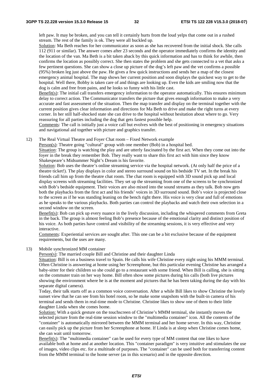left paw. It may be broken, and you can tell it certainly hurts from the loud yelps that come out in a rushed stream. The rest of the family is ok. They were all buckled up.

Solution: Ma Beth reaches for her communicator as soon as she has recovered from the initial shock. She calls 112 (911 or similar). The answer comes after 23 seconds and the operator immediately confirms the identity and the location of the van. Ma Beth is a bit taken aback by this quick information and has to think for awhile, then confirms the location as possibly correct. She then states the problem and she gets connected to a vet that asks a few pertinent questions. She can show a close up picture of the dog's left paw and the vet confirms a possible (95%) broken leg just above the paw. He gives a few quick instructions and sends her a map of the closest emergency animal hospital. The map shows her current position and soon displays the quickest way to get to the hospital. Well there, Bobby is taken care of and things are looking up. Even the kids are smiling now that the dog is calm and free from pains, and he looks so funny with his little cast.

Benefit(s): The initial call transfers emergency information to the operator automatically. This ensures minimum delay to correct action. The Communicator transfers the picture that gives enough information to make a very accurate and fast assessment of the situation. Then the map transfer and display on the terminal together with the current position gives clear information and directions for Ma Beth to drive and make the right turns at every corner. In her still half-shocked state she can drive to the hospital without hesitation about where to go. Very reassuring for all parties including the dog that gets fastest possible help.

Comments: The call is initially just a voice call but evolves with the best of positioning in emergency situations and navigational aid together with picture and graphics transfer.

12) The Real Virtual Theatre and Foyer Chat room – Fixed Network example

Person(s): Theatre going "cultural" group with one member (Bob) in a hospital bed. Situation: The group is watching the play and are utterly fascinated by the first act. When they come out into the foyer in the break they remember Bob. They really want to share this first act with him since they know

Shakespeare's Midsummer Night's Dream is his favorite.

Solution: Bob uses the theatre's online streaming service via the hospital network. (At only half the price of a theatre ticket!). The play displays in color and stereo surround sound on his bedside TV set. In the break his friends call him up from the theatre chat room. The chat room is equipped with 3D sound pick up and local display screens with streaming facilities. They set up the streaming from one of the screens to be synchronized with Bob's bedside equipment. Their voices are also mixed into the sound streams as they talk. Bob now gets both the playbacks from the first act and his friends' voices in 3D surround sound. Bob's voice is projected close to the screen as if he was standing leaning on the bench right there. His voice is very clear and full of emotions as he speaks to the various playbacks. Both parties can control the playbacks and watch their own selection in a second window on the screen.

Benefit(s): Bob can pick up every nuance in the lively discussion, including the whispered comments from Greta in the back. The group is almost feeling Bob's presence because of the emotional clarity and distinct position of his voice. As both parties have control and visibility of the streaming sessions, it is very effective and very interactive.

Comments: Experiential services are sought after. This one can be a bit exclusive because of the equipment requirements, but the uses are many.

#### 13) Mobile synchronized MM container

Person(s): The married couple Bill and Christine and their daughter Linda

Situation: Bill is on a business travel to Spain. He calls his wife Christine every night using his MMM terminal. Often Christine is answering at home using her Screenphone, but this particular evening Christine has arranged a baby-sitter for their children so she could go to a restaurant with some friend. When Bill is calling, she is sitting on the commuter train on her way home. Bill often show some pictures during his calls (both live pictures showing the environment where he is at the moment and pictures that he has been taking during the day with his separate digital camera).

Today, their talk starts off as a common voice conversation. After a while Bill likes to show Christine the lovely sunset view that he can see from his hotel room, so he make some snapshots with the built-in camera of his terminal and sends them in real-time mode to Christine. Christine likes to show one of them to their little daughter Linda when she comes home.

Solution: With a quick gesture on the touchscreen of Christine's MMM terminal, she instantly moves the selected picture from the real-time session window to the "multimedia container" icon. All the contents of the "container" is automatically mirrored between the MMM terminal and her home server. In this way, Christine can easily pick up the picture from her Screenphone at home. If Linda is at sleep when Christine comes home, she can wait until tomorrow.

Benefit(s): The "multimedia container" can be used for every type of MM content that one likes to have available both at home and at another location. This "container paradigm" is very intuitive and stimulates the use of images, video clips etc. for a multitude of purposes. The "container" can be used both for transferring content from the MMM terminal to the home server (as in this scenario) and in the opposite direction.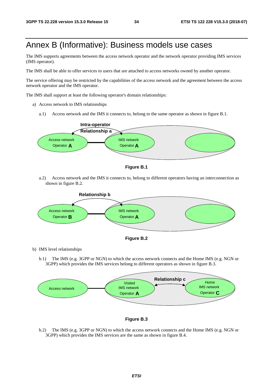# Annex B (Informative): Business models use cases

The IMS supports agreements between the access network operator and the network operator providing IMS services (IMS operator).

The IMS shall be able to offer services to users that are attached to access networks owned by another operator.

The service offering may be restricted by the capabilities of the access network and the agreement between the access network operator and the IMS operator.

The IMS shall support at least the following operator's domain relationships:

- a) Access network to IMS relationships
	- a.1) Access network and the IMS it connects to, belong to the same operator as shown in figure B.1.



**Figure B.1** 

a.2) Access network and the IMS it connects to, belong to different operators having an interconnection as shown in figure B.2.





b) IMS level relationships

b.1) The IMS (e.g. 3GPP or NGN) to which the access network connects and the Home IMS (e.g. NGN or 3GPP) which provides the IMS services belong to different operators as shown in figure B.3.





b.2) The IMS (e.g. 3GPP or NGN) to which the access network connects and the Home IMS (e.g. NGN or 3GPP) which provides the IMS services are the same as shown in figure B.4.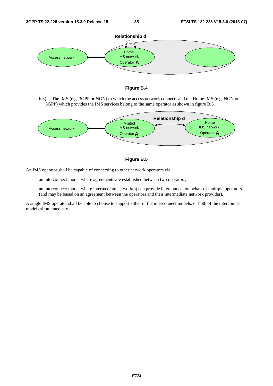



b.3) The IMS (e.g. 3GPP or NGN) to which the access network connects and the Home IMS (e.g. NGN or 3GPP) which provides the IMS services belong to the same operator as shown in figure B.5.





An IMS operator shall be capable of connecting to other network operators via:

- an interconnect model where agreements are established between two operators;
- an interconnect model where intermediate network(s) can provide interconnect on behalf of multiple operators (and may be based on an agreement between the operators and their intermediate network provider).

A single IMS operator shall be able to choose to support either of the interconnect models, or both of the interconnect models simultaneously.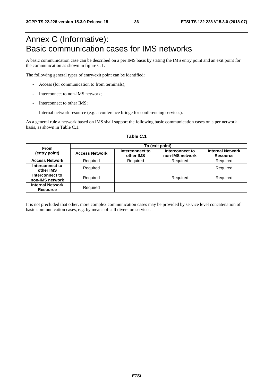# Annex C (Informative): Basic communication cases for IMS networks

A basic communication case can be described on a per IMS basis by stating the IMS entry point and an exit point for the communication as shown in figure C.1.

The following general types of entry/exit point can be identified:

- Access (for communication to from terminals);
- Interconnect to non-IMS network;
- Interconnect to other IMS:
- Internal network resource (e.g. a conference bridge for conferencing services).

As a general rule a network based on IMS shall support the following basic communication cases on a per network basis, as shown in Table C.1.

| <b>From</b>                                | To (exit point)       |                              |                                    |                                            |  |  |  |  |  |  |  |
|--------------------------------------------|-----------------------|------------------------------|------------------------------------|--------------------------------------------|--|--|--|--|--|--|--|
| (entry point)                              | <b>Access Network</b> | Interconnect to<br>other IMS | Interconnect to<br>non-IMS network | <b>Internal Network</b><br><b>Resource</b> |  |  |  |  |  |  |  |
| <b>Access Network</b>                      | Required              | Required                     | Required                           | Required                                   |  |  |  |  |  |  |  |
| Interconnect to<br>other IMS               | Required              |                              |                                    | Required                                   |  |  |  |  |  |  |  |
| Interconnect to<br>non-IMS network         | Required              |                              | Required                           | Required                                   |  |  |  |  |  |  |  |
| <b>Internal Network</b><br><b>Resource</b> | Required              |                              |                                    |                                            |  |  |  |  |  |  |  |

#### **Table C.1**

It is not precluded that other, more complex communication cases may be provided by service level concatenation of basic communication cases, e.g. by means of call diversion services.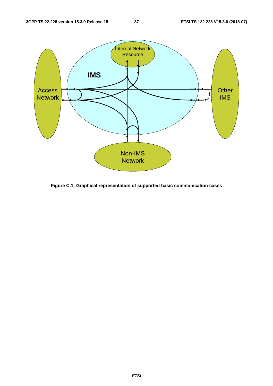

**Figure C.1: Graphical representation of supported basic communication cases**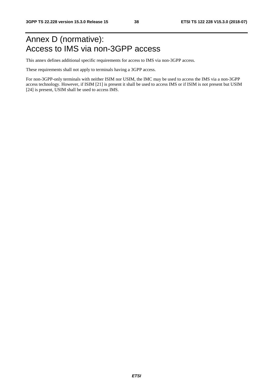# Annex D (normative): Access to IMS via non-3GPP access

This annex defines additional specific requirements for access to IMS via non-3GPP access.

These requirements shall not apply to terminals having a 3GPP access.

For non-3GPP-only terminals with neither ISIM nor USIM, the IMC may be used to access the IMS via a non-3GPP access technology. However, if ISIM [21] is present it shall be used to access IMS or if ISIM is not present but USIM [24] is present, USIM shall be used to access IMS.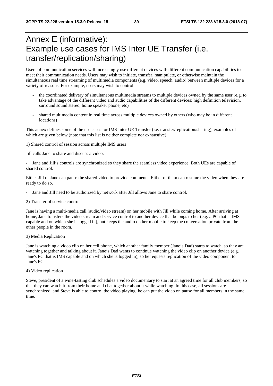# Annex E (informative): Example use cases for IMS Inter UE Transfer (i.e. transfer/replication/sharing)

Users of communication services will increasingly use different devices with different communication capabilities to meet their communication needs. Users may wish to initiate, transfer, manipulate, or otherwise maintain the simultaneous real time streaming of multimedia components (e.g. video, speech, audio) between multiple devices for a variety of reasons. For example, users may wish to control:

- the coordinated delivery of simultaneous multimedia streams to multiple devices owned by the same user (e.g. to take advantage of the different video and audio capabilities of the different devices: high definition television, surround sound stereo, home speaker phone, etc)
- shared multimedia content in real time across multiple devices owned by others (who may be in different locations)

This annex defines some of the use cases for IMS Inter UE Transfer (i.e. transfer/replication/sharing), examples of which are given below (note that this list is neither complete nor exhaustive):

1) Shared control of session across multiple IMS users

Jill calls Jane to share and discuss a video.

Jane and Jill's controls are synchronized so they share the seamless video experience. Both UEs are capable of shared control.

Either Jill or Jane can pause the shared video to provide comments. Either of them can resume the video when they are ready to do so.

- Jane and Jill need to be authorized by network after Jill allows Jane to share control.
- 2) Transfer of service control

Jane is having a multi-media call (audio/video stream) on her mobile with Jill while coming home. After arriving at home, Jane transfers the video stream and service control to another device that belongs to her (e.g. a PC that is IMS capable and on which she is logged in), but keeps the audio on her mobile to keep the conversation private from the other people in the room.

#### 3) Media Replication

Jane is watching a video clip on her cell phone, which another family member (Jane's Dad) starts to watch, so they are watching together and talking about it. Jane's Dad wants to continue watching the video clip on another device (e.g. Jane's PC that is IMS capable and on which she is logged in), so he requests replication of the video component to Jane's PC.

#### 4) Video replication

Steve, president of a wine-tasting club schedules a video documentary to start at an agreed time for all club members, so that they can watch it from their home and chat together about it while watching. In this case, all sessions are synchronized, and Steve is able to control the video playing: he can put the video on pause for all members in the same time.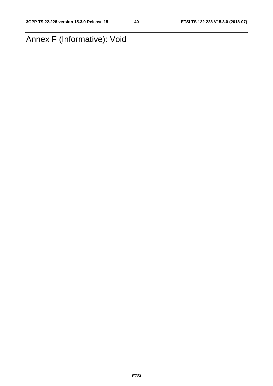# Annex F (Informative): Void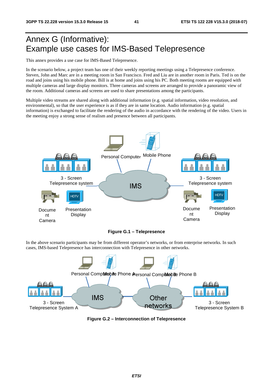# Annex G (Informative): Example use cases for IMS-Based Telepresence

This annex provides a use case for IMS-Based Telepresence.

In the scenario below, a project team has one of their weekly reporting meetings using a Telepresence conference. Steven, John and Marc are in a meeting room in San Francisco. Fred and Liu are in another room in Paris. Ted is on the road and joins using his mobile phone. Bill is at home and joins using his PC. Both meeting rooms are equipped with multiple cameras and large display monitors. Three cameras and screens are arranged to provide a panoramic view of the room. Additional cameras and screens are used to share presentations among the participants.

Multiple video streams are shared along with additional information (e.g. spatial information, video resolution, and environmental), so that the user experience is as if they are in same location. Audio information (e.g. spatial information) is exchanged to facilitate the rendering of the audio in accordance with the rendering of the video. Users in the meeting enjoy a strong sense of realism and presence between all participants.



**Figure G.1 – Telepresence** 

In the above scenario participants may be from different operator's networks, or from enterprise networks. In such cases, IMS-based Telepresence has interconnection with Telepresence in other networks.



**Figure G.2 – Interconnection of Telepresence**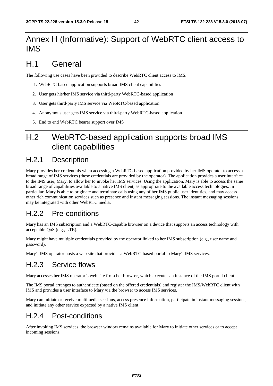# Annex H (Informative): Support of WebRTC client access to IMS

# H.1 General

The following use cases have been provided to describe WebRTC client access to IMS.

- 1. WebRTC-based application supports broad IMS client capabilities
- 2. User gets his/her IMS service via third-party WebRTC-based application
- 3. User gets third-party IMS service via WebRTC-based application
- 4. Anonymous user gets IMS service via third-party WebRTC-based application
- 5. End to end WebRTC bearer support over IMS

## H.2 WebRTC-based application supports broad IMS client capabilities

### H.2.1 Description

Mary provides her credentials when accessing a WebRTC-based application provided by her IMS operator to access a broad range of IMS services (these credentials are provided by the operator). The application provides a user interface to the IMS user, Mary, to allow her to invoke her IMS services. Using the application, Mary is able to access the same broad range of capabilities available to a native IMS client, as appropriate to the available access technologies. In particular, Mary is able to originate and terminate calls using any of her IMS public user identities, and may access other rich communication services such as presence and instant messaging sessions. The instant messaging sessions may be integrated with other WebRTC media.

### H.2.2 Pre-conditions

Mary has an IMS subscription and a WebRTC-capable browser on a device that supports an access technology with acceptable QoS (e.g., LTE).

Mary might have multiple credentials provided by the operator linked to her IMS subscription (e.g., user name and password).

Mary's IMS operator hosts a web site that provides a WebRTC-based portal to Mary's IMS services.

### H.2.3 Service flows

Mary accesses her IMS operator's web site from her browser, which executes an instance of the IMS portal client.

The IMS portal arranges to authenticate (based on the offered credentials) and register the IMS/WebRTC client with IMS and provides a user interface to Mary via the browser to access IMS services.

Mary can initiate or receive multimedia sessions, access presence information, participate in instant messaging sessions, and initiate any other service expected by a native IMS client.

### H.2.4 Post-conditions

After invoking IMS services, the browser window remains available for Mary to initiate other services or to accept incoming sessions.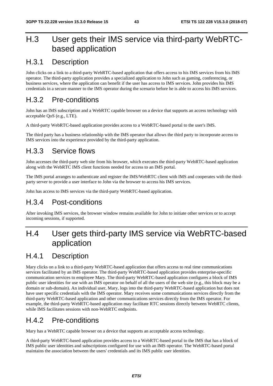# H.3 User gets their IMS service via third-party WebRTCbased application

### H.3.1 Description

John clicks on a link to a third-party WebRTC-based application that offers access to his IMS services from his IMS operator. The third-party application provides a specialized application to John such as gaming, conferencing, or business services, where the application can benefit if the user has access to IMS services. John provides his IMS credentials in a secure manner to the IMS operator during the scenario before he is able to access his IMS services.

### H.3.2 Pre-conditions

John has an IMS subscription and a WebRTC capable browser on a device that supports an access technology with acceptable QoS (e.g., LTE).

A third-party WebRTC-based application provides access to a WebRTC-based portal to the user's IMS.

The third party has a business relationship with the IMS operator that allows the third party to incorporate access to IMS services into the experience provided by the third-party application.

### H.3.3 Service flows

John accesses the third-party web site from his browser, which executes the third-party WebRTC-based application along with the WebRTC IMS client functions needed for access to an IMS portal.

The IMS portal arranges to authenticate and register the IMS/WebRTC client with IMS and cooperates with the thirdparty server to provide a user interface to John via the browser to access his IMS services.

John has access to IMS services via the third-party WebRTC-based application.

#### H.3.4 Post-conditions

After invoking IMS services, the browser window remains available for John to initiate other services or to accept incoming sessions, if supported.

# H.4 User gets third-party IMS service via WebRTC-based application

### H.4.1 Description

Mary clicks on a link to a third-party WebRTC-based application that offers access to real time communications services facilitated by an IMS operator. The third-party WebRTC-based application provides enterprise-specific communication services to employee Mary. The third-party WebRTC-based application configures a block of IMS public user identities for use with an IMS operator on behalf of all the users of the web site (e.g., this block may be a domain or sub-domain). An individual user, Mary, logs into the third-party WebRTC-based application but does not have user specific credentials with the IMS operator. Mary receives some communications services directly from the third-party WebRTC-based application and other communications services directly from the IMS operator. For example, the third-party WebRTC-based application may facilitate RTC sessions directly between WebRTC clients, while IMS facilitates sessions with non-WebRTC endpoints.

### H.4.2 Pre-conditions

Mary has a WebRTC capable browser on a device that supports an acceptable access technology.

A third-party WebRTC-based application provides access to a WebRTC-based portal to the IMS that has a block of IMS public user identities and subscriptions configured for use with an IMS operator. The WebRTC-based portal maintains the association between the users' credentials and its IMS public user identities.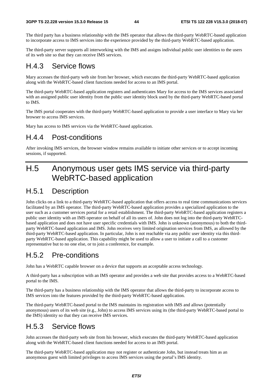The third party has a business relationship with the IMS operator that allows the third-party WebRTC-based application to incorporate access to IMS services into the experience provided by the third-party WebRTC-based application.

The third-party server supports all interworking with the IMS and assigns individual public user identities to the users of its web site so that they can receive IMS services.

#### H.4.3 Service flows

Mary accesses the third-party web site from her browser, which executes the third-party WebRTC-based application along with the WebRTC-based client functions needed for access to an IMS portal.

The third-party WebRTC-based application registers and authenticates Mary for access to the IMS services associated with an assigned public user identity from the public user identity block used by the third-party WebRTC-based portal to IMS.

The IMS portal cooperates with the third-party WebRTC-based application to provide a user interface to Mary via her browser to access IMS services.

Mary has access to IMS services via the WebRTC-based application.

#### H.4.4 Post-conditions

After invoking IMS services, the browser window remains available to initiate other services or to accept incoming sessions, if supported.

# H.5 Anonymous user gets IMS service via third-party WebRTC-based application

### H.5.1 Description

John clicks on a link to a third-party WebRTC-based application that offers access to real time communications services facilitated by an IMS operator. The third-party WebRTC-based application provides a specialized application to the user such as a customer services portal for a retail establishment. The third-party WebRTC-based application registers a public user identity with an IMS operator on behalf of all its users of. John does not log into the third-party WebRTCbased application and does not have user specific credentials with IMS. John is unknown (anonymous) to both the thirdparty WebRTC-based application and IMS. John receives very limited origination services from IMS, as allowed by the third-party WebRTC-based application. In particular, John is not reachable via any public user identity via this thirdparty WebRTC-based application. This capability might be used to allow a user to initiate a call to a customer representative but to no one else, or to join a conference, for example.

### H.5.2 Pre-conditions

John has a WebRTC capable browser on a device that supports an acceptable access technology.

A third-party has a subscription with an IMS operator and provides a web site that provides access to a WebRTC-based portal to the IMS.

The third-party has a business relationship with the IMS operator that allows the third-party to incorporate access to IMS services into the features provided by the third-party WebRTC-based application.

The third-party WebRTC-based portal to the IMS maintains its registration with IMS and allows (potentially anonymous) users of its web site (e.g., John) to access IMS services using its (the third-party WebRTC-based portal to the IMS) identity so that they can receive IMS services.

### H.5.3 Service flows

John accesses the third-party web site from his browser, which executes the third-party WebRTC-based application along with the WebRTC-based client functions needed for access to an IMS portal.

The third-party WebRTC-based application may not register or authenticate John, but instead treats him as an anonymous guest with limited privileges to access IMS services using the portal's IMS identity.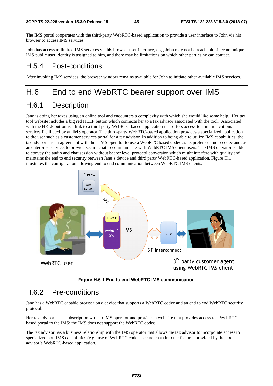The IMS portal cooperates with the third-party WebRTC-based application to provide a user interface to John via his browser to access IMS services.

John has access to limited IMS services via his browser user interface, e.g., John may not be reachable since no unique IMS public user identity is assigned to him, and there may be limitations on which other parties he can contact.

#### H.5.4 Post-conditions

After invoking IMS services, the browser window remains available for John to initiate other available IMS services.

## H.6 End to end WebRTC bearer support over IMS

#### H.6.1 Description

Jane is doing her taxes using an online tool and encounters a complexity with which she would like some help. Her tax tool website includes a big red HELP button which connects her to a tax advisor associated with the tool. Associated with the HELP button is a link to a third-party WebRTC-based application that offers access to communications services facilitated by an IMS operator. The third-party WebRTC-based application provides a specialized application to the user such as a customer services portal for a tax advisor. In addition to being able to utilize IMS capabilities, the tax advisor has an agreement with their IMS operator to use a WebRTC based codec as its preferred audio codec and, as an enterprise service, to provide secure chat to communicate with WebRTC IMS client users. The IMS operator is able to convey the audio and chat session without bearer level protocol conversion which might interfere with quality and maintains the end to end security between Jane's device and third party WebRTC-based application. Figure H.1 illustrates the configuration allowing end to end communication between WebRTC IMS clients.



**Figure H.6-1 End to end WebRTC IMS communication** 

### H.6.2 Pre-conditions

Jane has a WebRTC capable browser on a device that supports a WebRTC codec and an end to end WebRTC security protocol.

Her tax advisor has a subscription with an IMS operator and provides a web site that provides access to a WebRTCbased portal to the IMS; the IMS does not support the WebRTC codec.

The tax advisor has a business relationship with the IMS operator that allows the tax advisor to incorporate access to specialized non-IMS capabilities (e.g., use of WebRTC codec, secure chat) into the features provided by the tax advisor's WebRTC-based application.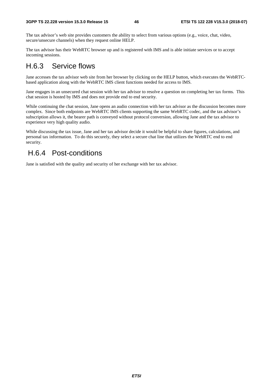The tax advisor's web site provides customers the ability to select from various options (e.g., voice, chat, video, secure/unsecure channels) when they request online HELP.

The tax advisor has their WebRTC browser up and is registered with IMS and is able initiate services or to accept incoming sessions.

### H.6.3 Service flows

Jane accesses the tax advisor web site from her browser by clicking on the HELP button, which executes the WebRTCbased application along with the WebRTC IMS client functions needed for access to IMS.

Jane engages in an unsecured chat session with her tax advisor to resolve a question on completing her tax forms. This chat session is hosted by IMS and does not provide end to end security.

While continuing the chat session, Jane opens an audio connection with her tax advisor as the discussion becomes more complex. Since both endpoints are WebRTC IMS clients supporting the same WebRTC codec, and the tax advisor's subscription allows it, the bearer path is conveyed without protocol conversion, allowing Jane and the tax advisor to experience very high quality audio.

While discussing the tax issue, Jane and her tax advisor decide it would be helpful to share figures, calculations, and personal tax information. To do this securely, they select a secure chat line that utilizes the WebRTC end to end security.

### H.6.4 Post-conditions

Jane is satisfied with the quality and security of her exchange with her tax advisor.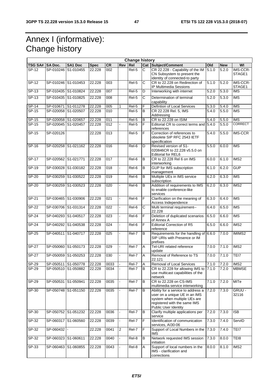# Annex I (informative): Change history

|                 |                     |                     |             |                  |                | <b>Change history</b> |                |                                                                                                                                                             |                    |            |                          |
|-----------------|---------------------|---------------------|-------------|------------------|----------------|-----------------------|----------------|-------------------------------------------------------------------------------------------------------------------------------------------------------------|--------------------|------------|--------------------------|
| TSG SA# SA Doc. |                     | <b>SA1 Doc</b>      | <b>Spec</b> | <b>CR</b>        | <b>Rev</b>     | Rel                   |                | Cat Subject/Comment                                                                                                                                         | Old                | <b>New</b> | WI                       |
| SP-12           | SP-010246           | S1-010455           | 22.228      | 002              |                | Rel-5                 | $\overline{c}$ | CR 22.228 - Capability of the IM<br>CN Subsystem to present the<br>identity of connected-to party                                                           | 5.1.0              | 5.2.0      | IMS-CCR-<br>STAGE1       |
| $SP-12$         |                     | SP-010246 S1-010453 | 22.228      | 003              |                | Rel-5                 | C              | CR to 22.228 on Redirection of<br>IP Multimedia Sessions                                                                                                    | 5.1.0              | 5.2.0      | IMS-CCR-<br>STAGE1       |
| SP-13           |                     | SP-010435 S1-010824 | 22.228      | 007              |                | Rel-5                 | D              | Interworking with internet                                                                                                                                  | 5.2.0              | 5.3.0      | <b>IMS</b>               |
| $SP-13$         |                     | SP-010435 S1-010825 | 22.228      | 008              |                | Rel-5                 | C              | Determination of terminal<br>capability                                                                                                                     | 5.2.0              | 5.3.0      | <b>IMS</b>               |
| SP-14           |                     | SP-010671 S1-011278 | 22.228      | 005              | 1              | Rel-5                 | F              | Defintion of Local Services                                                                                                                                 | $\overline{5.3.0}$ | 5.4.0      | <b>IMS</b>               |
| SP-15           |                     | SP-020058 S1-020507 | 22.228      | 010              |                | Rel-5                 | B              | CR 22.228 Rel. 5, IMS<br>Addressing                                                                                                                         | 5.4.0              | 5.5.0      | <b>IMS</b>               |
| SP-15           | SP-020058 S1-020657 |                     | 22.228      | 011              |                | Rel-5                 | B              | CR to 22.228 on ISIM                                                                                                                                        | 5.4.0              | 5.5.0      | <b>IMS</b>               |
| SP-15           |                     | SP-020045 S1-020457 | 22.228      | $\overline{012}$ |                | Rel-5                 | $\overline{F}$ | Editorial CR to correct terms and 5.4.0<br>references                                                                                                       |                    | 5.5.0      | <b>CORRECT</b>           |
| SP-15           | SP-020126           |                     | 22.228      | 013              |                | Rel-5                 | F              | Correction of references to<br>obsolete SIP RFC 2543 IETF<br>specification                                                                                  | 5.4.0              | 5.5.0      | <b>IMS-CCR</b>           |
| SP-16           |                     | SP-020258 S1-021162 | 22.228      | 016              |                | Rel-6                 | D              | Revised version of S1-<br>020846CR to 22.228 v5.5.0 on<br><b>Editorial for REL6</b>                                                                         | 5.5.0              | 6.0.0      | <b>IMS</b>               |
| SP-17           | SP-020562 S1-021771 |                     | 22.228      | 017              |                | Rel-6                 | B              | CR to 22.228 Rel 6 on IMS<br>interworking                                                                                                                   | 6.0.0              | 6.1.0      | IMS2                     |
| $SP-19$         |                     | SP-030028 S1-030182 | 22.228      | $\overline{018}$ |                | Rel-6                 | B              | <b>GUP</b> for IMS subscription<br>management                                                                                                               | 6.1.0              | 6.2.0      | <b>GUP</b>               |
| $SP-20$         |                     | SP-030259 S1-030522 | 22.228      | 019              |                | Rel-6                 | B              | Multiple UEs in IMS service<br>subscription                                                                                                                 | 6.2.0              | 6.3.0      | <b>IMS</b>               |
| SP-20           | SP-030259           | S1-030523           | 22.228      | 020              |                | Rel-6                 | B              | Addition of requirements to IMS<br>to enable conference-like<br>services                                                                                    | 6.2.0              | 6.3.0      | $\overline{\text{IMS2}}$ |
| <b>SP-21</b>    |                     | SP-030465 S1-030906 | 22.228      | 021              |                | Rel-6                 | F              | Clarification on the meaning of<br>Access Independence                                                                                                      | 6.3.0              | 6.4.0      | $\overline{\text{IMS}}$  |
| SP-22           |                     | SP-030706 S1-031314 | 22.228      | 022              |                | Rel-6                 | C              | Multi terminal requirement--<br>22.228                                                                                                                      | 6.4.0              | 6.5.0      | <b>IMS</b>               |
| $SP-24$         |                     | SP-040293 S1-040517 | 22.228      | $\overline{023}$ |                | Rel-6                 | $\overline{F}$ | Deletion of duplicated scenarios<br>of Annex A                                                                                                              | 6.5.0              | 6.6.0      | <b>IMS</b>               |
| $SP-24$         |                     | SP-040292 S1-040538 | 22.228      | 024              |                | Rel-6                 | F              | <b>Editorial Correction of R5</b><br>reference                                                                                                              | 6.5.0              | 6.6.0      | MSS                      |
| <b>SP-25</b>    | SP-040511           | S1-040717           | 22.228      | 025              |                | Rel-7                 | B              | Requirements for the handling of 6.6.0<br>SIP URIs with Presence or IM<br>prefixes                                                                          |                    | 7.0.0      | IMIMS2                   |
| <b>SP-27</b>    |                     | SP-050060 S1-050173 | 22.228      | 029              |                | Rel-7                 | Α              | Tel-URI related reference<br>update                                                                                                                         | 7.0.0              | 7.1.0      | IMS2                     |
| <b>SP-27</b>    |                     | SP-050059 S1-050253 | 22.228      | 030              |                | Rel-7                 | A              | Removal of Reference to TS<br>22.121                                                                                                                        | 7.0.0              | 7.1.0      | TEI7                     |
| SP-29           |                     | SP-050511 S1-050778 | 22.228      | 0033             |                | Rel-7                 | A              | Removal of Local Services                                                                                                                                   | 7.1.0              | 7.2.0      | IMS <sub>2</sub>         |
| SP-29           |                     | SP-050510 S1-050882 | 22.228      | 0034             |                | Rel-7                 | B              | CR to 22.228 for allowing IMS to 7.1.0<br>use multicast capabilities of the<br>network                                                                      |                    | 7.2.0      | <b>MBMSE</b>             |
| <b>SP-29</b>    | SP-050531 S1-050941 |                     | 22.228      | 0035             |                | Rel-7                 | B              | CR to 22.228 on CS-IMS<br>multimedia service interworking                                                                                                   | 7.1.0              | 7.2.0      | MTE                      |
| SP-30           |                     | SP-050748 S1-051150 | 22.228      | 0035             |                | Rel-7                 | B              | Ability for a service to address a<br>user on a unique UE in an IMS<br>system when multiple UEs are<br>registered with the same IMS<br>Public User Identity | 7.2.0              | 7.3.0      | GRUU -<br>32116          |
| SP-30           |                     | SP-050752 S1-051232 | 22.228      | 0036             |                | Rel-7                 | B              | Clarify multiple applications per<br>service                                                                                                                | 7.2.0              | 7.3.0      | $\overline{\text{IB}}$   |
| $SP-32$         |                     | SP-060317 S1-060560 | 22.228      | 0039             |                | Rel-7                 | F              | Identification of communication<br>services, AI30-06                                                                                                        | 7.3.0              | 7.4.0      | ServID                   |
| SP-32           | SP-060432           |                     | 22.228      | 0041             | $\overline{c}$ | Rel-7                 | F              | Support of Local Numbers in the 7.3.0<br><b>IMS</b>                                                                                                         |                    | 7.4.0      | TEI7                     |
| SP-32           | SP-060323 S1-060611 |                     | 22.228      | 0040             |                | Rel-8                 | В              | Network requested IMS session<br>initiation                                                                                                                 | 7.3.0              | 8.0.0      | TEI8                     |
| SP-33           |                     | SP-060463 S1-060855 | 22.228      | 0043             |                | Rel-8                 | Α              | Support of local numbers in the<br>IMS - clarification and<br>corrections                                                                                   | 8.0.0              | 8.1.0      | IMS2                     |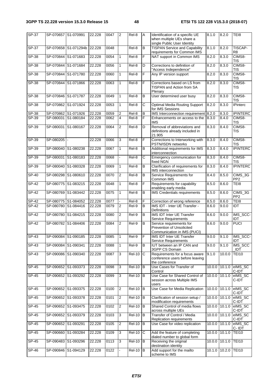| SP-37        | SP-070657 S1-070991 |                      | 22.228 | 0047 | $\overline{2}$ | Rel-8               | A                     | Identification of a specific UE<br>when multiple UEs share a<br>single Public User Identity | 8.1.0  | 8.2.0         | TEI8                             |
|--------------|---------------------|----------------------|--------|------|----------------|---------------------|-----------------------|---------------------------------------------------------------------------------------------|--------|---------------|----------------------------------|
| SP-37        |                     | SP-070658 S1-071294b | 22.228 | 0048 |                | Rel-8               | B                     | <b>TISPAN Service and Capability</b><br>requirements for Common IMS                         | 8.1.0  | 8.2.0         | <b>TISCAP-</b><br>R <sub>8</sub> |
| $SP-38$      |                     | SP-070844 S1-071683  | 22.228 | 0054 | $\mathbf{1}$   | Rel-8               | F                     | NAT support in Common IMS                                                                   | 8.2.0  | 8.3.0         | CIMS8-<br><b>TIS</b>             |
| $SP-38$      | SP-070844           | S1-071684            | 22.228 | 0056 | $\mathbf{1}$   | Rel-8               | D                     | Corrections to definition of<br>"Access Independence"                                       | 8.2.0  | 8.3.0         | CIMS8-<br><b>TIS</b>             |
| SP-38        | SP-070844           | S1-071780            | 22.228 | 0060 | $\mathbf{1}$   | Rel-8               | $\overline{F}$        | Any IP version support                                                                      | 8.2.0  | 8.3.0         | CIMS8-<br><b>TIS</b>             |
| <b>SP-38</b> | SP-070844           | S1-071866            | 22.228 | 0063 | $\mathbf{1}$   | $Rel-8$             | F                     | Corrections based on LS from<br>TISPAN and Action from SA<br>Plenary                        | 8.2.0  | 8.3.0         | CIMS8-<br><b>TIS</b>             |
| SP-38        | SP-070846 S1-071787 |                      | 22.228 | 0049 | 1              | Rel-8               | $\overline{B}$        | User determined user busy                                                                   | 8.2.0  | 8.3.0         | CIMS8-<br><b>TIS</b>             |
| $SP-38$      | SP-070862           | S1-071924            | 22.228 | 0053 | 1              | $ReI-8$             | $\overline{\text{c}}$ | <b>Optimal Media Routing Support</b><br>for IMS Sessions                                    | 8.2.0  | 8.3.0         | <b>IPinterc</b>                  |
| SP-38        |                     | SP-070862 S1-071926  | 22.228 | 0059 | $\overline{2}$ | Rel-8               | B                     | IMS Interconnection requirement                                                             | 8.2.0  | 8.3.0         | <b>IPINTERC</b>                  |
| SP-39        |                     | SP-080031 S1-080184  | 22.228 | 0062 | 4              | Rel-8               | F                     | Enhancements on access to the<br><b>IMS</b>                                                 | 8.3.0  | 8.4.0         | CIMS8-<br><b>TIS</b>             |
| SP-39        | SP-080031           | S1-080167            | 22.228 | 0064 | $\overline{2}$ | $\overline{Rel8}$   | D                     | Removal of abbreviations and<br>definitions already included in<br>21.905                   | 8.3.0  | 8.4.0         | CIMS8-<br><b>TIS</b>             |
| $SP-39$      | SP-080205           |                      | 22.228 | 0066 | 3              | Rel-8               | F                     | Corrections to Interworking with<br>PSTN/ISDN networks                                      | 8.3.0  | 8.4.0         | CIMS8-<br><b>TIS</b>             |
| SP-39        | SP-080040           | S1-080238            | 22.228 | 0067 | $\mathbf{1}$   | Rel-8               | B                     | Additional requirements for IMS<br>interconnection                                          | 8.3.0  | 8.4.0         | <b>IPINTERC</b>                  |
| SP-39        | SP-080031           | S1-080183            | 22.228 | 0068 |                | Rel-8               | $\overline{c}$        | Emergency communication for<br>fixed NGN                                                    | 8.3.0  | 8.4.0         | CIMS8-<br>TIS                    |
| SP-39        |                     | SP-080040 S1-080328  | 22.228 | 0069 | 1              | Rel-8               | B                     | Clarification of requirements for<br>IMS interconnection                                    | 8.3.0  | 8.4.0         | <b>IPINTERC</b>                  |
| SP-40        | SP-080298           | S1-080610            | 22.228 | 0070 | $\overline{2}$ | Rel-8               | B                     | Service Requirements for<br>Common IMS                                                      | 8.4.0  | 8.5.0         | CIMS_3G<br>PP <sub>2</sub>       |
| <b>SP-42</b> |                     | SP-080775 S1-083215  | 22.228 | 0048 | $\mathbf{1}$   | Rel-8               | F                     | Requirements for capability<br>enabling early media                                         | 8.5.0  | 8.6.0         | TEI8                             |
| <b>SP-42</b> | SP-080769           | S1-083442            | 22.228 | 0075 | $\mathbf{1}$   | Rel-8               | B                     | IMS Credentials requirements                                                                | 8.5.0  | 8.6.0         | CIMS_3G<br>PP <sub>2</sub>       |
| $SP-42$      |                     | SP-080775 S1-084052  | 22.228 | 0077 |                | Rel-8               | F                     | Correction of wrong reference                                                               | 8.5.0  | 8.6.0         | TEI8                             |
| SP-42        |                     | SP-080780 S1-084416  | 22.228 | 0079 | $\overline{2}$ | Rel-9               | $\sf B$               | IMS IDT - Inter UE Transfer -<br><b>Definitions</b>                                         | 8.6.0  | 9.0.0         | <b>IDT</b>                       |
| <b>SP-42</b> | SP-080780           | S1-084215            | 22.228 | 0080 | $\overline{2}$ | Rel-9               | B                     | IMS IDT Inter UE Transfer<br>Service Requirements                                           | 8.6.0  | 9.0.0         | IMS_SCC-<br>IDT                  |
| $SP-42$      |                     | SP-080782 S1-084406  | 22.228 | 0084 | $\overline{2}$ | $ReI-9$             | B                     | Service requirements for<br>Prevention of Unsolicited<br>Communication in IMS (PUCI)        | 8.6.0  | 9.0.0         | <b>PUCI</b>                      |
| $SP-43$      |                     | SP-090084 S1-090185  | 22.228 | 0085 |                | Rel-9               | $\overline{F}$        | <b>IMS IDT Inter UF Transfer</b><br><b>Service Requirements</b>                             | 9.0.0  | 9.1.0         | IMS_SCC-<br><b>IDT</b>           |
| $SP-43$      | SP-090084           | S1-090341            | 22.228 | 0088 | $\mathbf{1}$   | Rel-9               | B                     | IUT between an IP CAN and<br>3GPP CS Domain                                                 | 9.0.0  | 9.1.0         | IMS_SCC<br><b>IDT</b>            |
| SP-43        |                     | SP-090086 S1-090340  | 22.228 | 0087 | 3              | $Rel-10$            | C                     | Requirements for a focus aware<br>conference users before leaving<br>the conference         | 9.1.0  | 10.0.0        | <b>TEI10</b>                     |
| <b>SP-45</b> |                     | SP-090652 S1-093373  | 22.228 | 0098 | 3              | $Rel-10$ B          |                       | Use Cases for Transfer of<br>Control                                                        |        | 10.0.0 10.1.0 | elMS_SC<br>C-IDT                 |
| $SP-45$      |                     | SP-090652 S1-093292  | 22.228 | 0099 | 3              | $Rel-10$ B          |                       | Use Case for Shared Control of<br>session across Multiple IMS<br>users                      |        | 10.0.0 10.1.0 | elMS_SC<br>C-IDT                 |
| <b>SP-45</b> |                     | SP-090652 S1-093375  | 22.228 | 0100 | $\overline{2}$ | $Rel-10$ B          |                       | Use Case for Media Replication                                                              | 10.0.0 | 10.1.0        | elMS_SC<br>C-IDT                 |
| SP-45        |                     | SP-090652 S1-093378  | 22.228 | 0101 | $\overline{c}$ | <b>Rel-10</b>       | B                     | Clarification of session setup /<br>modification requirements                               | 10.0.0 | 10.1.0        | elMS_SC<br>C-IDT                 |
| SP-45        |                     | SP-090652 S1-093475  | 22.228 | 0102 | $\overline{c}$ | $\overline{Rel-10}$ | B                     | Shared Control of media flows<br>across multiple UEs                                        | 10.0.0 | 10.1.0        | elMS_SC<br>C-IDT                 |
| SP-45        |                     | SP-090652 S1-093379  | 22.228 | 0103 | 3              | <b>Rel-10</b>       | B                     | Transfer of Control / Media<br>Replication requirements                                     |        | 10.0.0 10.1.0 | elMS_SC<br>C-IDT                 |
| $SP-45$      | SP-090652 S1-093291 |                      | 22.228 | 0105 | 2              | <b>Rel-10</b>       | B                     | Use Case for video replication                                                              | 10.0.0 | 10.1.0        | elMS_SC<br>C-IDT                 |
| $SP-45$      |                     | SP-090660 S1-093284  | 22.228 | 0109 | 3              | <b>Rel-10</b>       | C                     | Add the feature of completing<br>dialed number to global form                               | 10.0.0 | 10.1.0        | <b>TEI10</b>                     |
| $SP-45$      |                     | SP-090483 S1-093296  | 22.228 | 0113 | 3              | <b>Rel-10</b>       | B                     | Receiving the original<br>destination identity                                              | 10.0.0 | 10.1.0        | <b>TEI10</b>                     |
| <b>SP-46</b> |                     | SP-090846 S1-094129  | 22.228 | 0122 |                | $Rel-10$ B          |                       | Add support for the mailto<br>scheme to IMS                                                 | 10.1.0 | 10.2.0        | <b>TEI10</b>                     |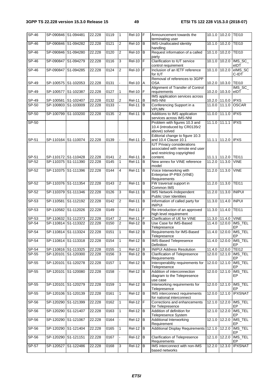| $SP-46$      | SP-090846 S1-094481 |                     | 22.228 | 0119 | $\vert$ 1      | $ReI-10$ F    |                | Announcement towards the<br>terminating user                                                        |        | 10.1.0 10.2.0      | <b>TEI10</b>                |
|--------------|---------------------|---------------------|--------|------|----------------|---------------|----------------|-----------------------------------------------------------------------------------------------------|--------|--------------------|-----------------------------|
| $S P - 46$   | SP-090846 S1-094282 |                     | 22.228 | 0121 | 2              | Rel-10        | B              | IMS-Unallocated identity<br>handling                                                                | 10.1.0 | 10.2.0             | <b>TEI10</b>                |
| SP-46        |                     | SP-090846 S1-094280 | 22.228 | 0120 | 2              | Rel-10        | B              | Request information of a called<br>party                                                            | 10.1.0 | 10.2.0             | <b>TEI10</b>                |
| <b>SP-46</b> |                     | SP-090847 S1-094279 | 22.228 | 0116 | $\mathbf{3}$   | <b>Rel-10</b> | E              | Clarification to IUT service<br>control requirement                                                 | 10.1.0 | 10.2.0             | IMS_SC_<br>eIDT             |
| <b>SP-46</b> | SP-090847           | S1-094285           | 22.228 | 0124 | $\overline{2}$ | $Rel-10$ $F$  |                | Inclusion of an IETF reference<br>for IUT                                                           | 10.1.0 | 10.2.0             | elMS_SC<br>C-IDT            |
| SP-49        | SP-100575           | S1-102053           | 22.228 | 0131 |                | <b>Rel-10</b> | A              | Removal of references to 3GPP<br><b>OSA</b>                                                         | 10.2.0 | 10.3.0             | <b>TEI10</b>                |
| SP-49        | SP-100577           | S1-102387           | 22.228 | 0127 | 1              | Rel-10        | F              | Alignment of Transfer of Control<br>requirements                                                    |        | 10.2.0 10.3.0      | $IMS\_SC_$<br>eIDT          |
|              |                     |                     |        |      |                |               |                | IMS application services across                                                                     |        |                    |                             |
| SP-49        |                     | SP-100581 S1-102407 | 22.228 | 0132 | $\overline{2}$ | <b>Rel-11</b> | B              | <b>IMS-NNI</b>                                                                                      |        | 10.2.0 11.0.0 IPXS |                             |
| $SP-50$      |                     | SP-100803 S1-103009 | 22.228 | 0133 |                | <b>Rel-11</b> | ĪВ             | Conferencing Support in a<br><b>VPLMN</b>                                                           |        | $11.0.0$ $11.1.0$  | <b>OSCAR</b>                |
| $SP-50$      | SP-100799           | S1-103200           | 22.228 | 0135 | $\overline{2}$ | <b>Rel-11</b> | B              | Additions to IMS application<br>services across IMS-NNI                                             | 11.0.0 | 11.1.0             | <b>IPXS</b>                 |
| $SP-50$      |                     |                     |        |      |                |               |                | Problem with figures 10.3 and<br>10.4 (introduced by CR0135r2<br>above) solved                      |        | $11.1.0$ 11.1.1    | <b>IPXS</b>                 |
| SP-51        |                     | SP-110164 S1-110074 | 22.228 | 0139 |                | <b>Rel-11</b> | D              | Editorial change to figure 10.3<br>and 10.4 Clause 10.1                                             |        | 11.1.1 11.2.0      | <b>IPXS</b>                 |
|              |                     |                     |        |      |                |               |                | <b>IUT Privacy considerations</b><br>associated with remote end user<br>and restricting copyrighted |        |                    |                             |
| SP-51        |                     | SP-110172 S1-110428 | 22.228 | 0141 | 2              | <b>Rel-11</b> | B              | content.                                                                                            |        | 11.1.1 11.2.0      | <b>TEI11</b>                |
| $SP-52$      | SP-110375           | S1-111390           | 22.228 | 0145 | $\mathbf{1}$   | <b>Rel-11</b> | $\overline{B}$ | New annex for VINE reference<br>model                                                               | 11.2.0 | 11.3.0             | <b>VINE</b>                 |
| $SP-52$      |                     | SP-110375 S1-111396 | 22.228 | 0144 | 4              | <b>Rel-11</b> | $\overline{B}$ | Voice Interworking with<br>Enterprise IP-PBX (VINE)<br>Requirements                                 | 11.2.0 | 11.3.0             | <b>VINE</b>                 |
| SP-52        |                     | SP-110376 S1-111354 | 22.228 | 0143 | $\overline{2}$ | <b>Rel-11</b> | B              | FW traversal support in<br>Common IMS                                                               |        | 11.2.0 11.3.0      | <b>TEI11</b>                |
| SP-52        | SP-110379 S1-111346 |                     | 22.228 | 0126 | 3              | Rel-11        | B              | <b>IMS Network-Independent</b><br>Public User Identities                                            | 11.2.0 | 11.3.0             | <b>INIPUI</b>               |
| $SP-53$      |                     | SP-110581 S1-112192 | 22.228 | 0142 | 2              | $Rel-11$      | в              | Information of called party for<br><b>INIPUI</b>                                                    |        | 11.3.0 11.4.0      | <b>INPUI</b>                |
| $SP-53$      |                     | SP-110582 S1-112026 | 22.228 | 0149 |                | $Rel-11$ $F$  |                | Re-introduction of an approved<br>high level requirement                                            | 11.3.0 | 11.4.0             | <b>TEI11</b>                |
| SP-53        |                     | SP-110632 S1-112373 | 22.228 | 0147 | 2              | <b>Rel-11</b> | F              | Clarification of UE for VINE                                                                        |        | 11.3.0 11.4.0      | <b>VINE</b>                 |
| SP-54        |                     | SP-110814 S1-113322 | 22.228 | 0150 | $\overline{2}$ | <b>Rel-12</b> | B              | Use Case for IMS-Based<br>Telepresence                                                              |        | 11.4.0 12.0.0      | IMS_TEL<br>EP               |
| SP-54        |                     | SP-110814 S1-113324 | 22.228 | 0151 | $\mathbf{1}$   | $Rel-12$ B    |                | Requirements for IMS-Based<br>Telepresence                                                          | 11.4.0 | 12.0.0             | IMS_TEL<br>EP               |
| SP-54        |                     | SP-110814 S1-113318 | 22.228 | 0154 | $\mathbf{1}$   | $Rel-12$ B    |                | IMS-Based Telepresence<br>Definition                                                                |        |                    | 11.4.0 12.0.0 IMS_TEL<br>EP |
| $SP-54$      |                     | SP-110816 S1-113325 | 22.228 | 0155 | 1              | <b>Rel-12</b> | B              | <b>INIPUI Address Resolution</b>                                                                    |        | 11.4.0 12.0.0      | <b>TEI12</b>                |
| SP-55        |                     | SP-120101 S1-120300 | 22.228 | 0156 | $\mathbf{3}$   | $Rel-12$ B    |                | <b>Clarification of Telepresence</b><br>Requirements                                                |        | 12.0.0 12.1.0      | IMS_TEL<br>EP               |
| SP-55        | SP-120101           | S1-120278           | 22.228 | 0157 | $\mathbf{1}$   | <b>Rel-12</b> | B              | Interoperability requirements for<br>Telepresence                                                   |        | 12.0.0 12.1.0      | IMS_TEL<br>EP               |
| SP-55        |                     | SP-120101 S1-120080 | 22.228 | 0158 |                | $Rel-12$ B    |                | Addition of interconnection<br>diagram to the Telepresence<br>use case                              | 12.0.0 | 12.1.0             | IMS_TEL<br>EP               |
| SP-55        |                     | SP-120101 S1-120279 | 22.228 | 0159 | 1              | $Rel-12$ B    |                | Interworking requirements for<br>Telepresence                                                       |        | 12.0.0 12.1.0      | IMS_TEL<br>EP               |
| $SP-55$      |                     | SP-120106 S1-120139 | 22.228 | 0161 | $\mathbf{1}$   | $Rel-12$ B    |                | IMS interconnect requirements<br>for national interconnect                                          |        | 12.0.0 12.1.0      | <b>IPXSNAT</b>              |
| $SP-56$      |                     | SP-120290 S1-121399 | 22.228 | 0162 | 1              | <b>Rel-12</b> | F              | Corrections and enhancements<br>for Telepresence                                                    |        | 12.1.0 12.2.0      | IMS_TEL<br>EP               |
| SP-56        | SP-120290           | S1-121407           | 22.228 | 0163 | $\overline{1}$ | <b>Rel-12</b> | B              | Addition of definition for<br>Telepresence System                                                   |        | 12.1.0 12.2.0      | IMS_TEL<br>EP.              |
| SP-56        |                     | SP-120290 S1-121067 | 22.228 | 0164 |                | <b>Rel-12</b> | B              | Additional Interworking<br>Requirement                                                              |        | 12.1.0 12.2.0      | IMS_TEL<br>EP               |
| SP-56        |                     | SP-120290 S1-121404 | 22.228 | 0165 | $\mathbf{1}$   | $Rel-12$ $B$  |                | <b>Additional Display Requirements</b>                                                              |        | 12.1.0 12.2.0      | IMS_TEL<br>EP               |
| $SP-56$      | SP-120290 S1-121151 |                     | 22.228 | 0167 |                | $Rel-12$ $B$  |                | Clarification of Telepresence<br>Requirements                                                       |        | 12.1.0 12.2.0      | IMS_TEL<br>EP               |
| SP-57        |                     | SP-120527 S1-122486 | 22.228 | 0168 | $\mathbf{3}$   | $Rel-12$ $B$  |                | IMS interconnect with non-IMS<br>based networks                                                     |        | $12.2.0$ 12.3.0    | <b>IPXSNAT</b>              |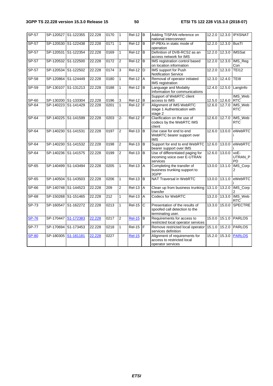| SP-57        | SP-120527 S1-122355 |                     | 22.228 | 0170 | $\vert$ 1      | $ReI-12$ B    |                | Adding TISPAN reference on<br>national interconnect                                  | 12.2.0 | 12.3.0        | <b>IPXSNAT</b>               |
|--------------|---------------------|---------------------|--------|------|----------------|---------------|----------------|--------------------------------------------------------------------------------------|--------|---------------|------------------------------|
| SP-57        | SP-120530 S1-122438 |                     | 22.228 | 0171 | 1              | $ReI-12$ B    |                | IP-PBXs in static mode of<br>operation                                               | 12.2.0 | 12.3.0        | <b>BusTI</b>                 |
| SP-57        |                     | SP-120531 S1-122354 | 22.228 | 0169 | $\mathbf{1}$   | Rel-12        | B              | Definition of DVB-RCS2 as an<br>access network for IMS                               |        | 12.2.0 12.3.0 | <b>IMSSat</b>                |
| $SP-57$      |                     | SP-120532 S1-122500 | 22.228 | 0172 | $\overline{2}$ | <b>Rel-12</b> | B              | IMS registration control based<br>on location information                            |        | 12.2.0 12.3.0 | IMS_Reg<br>Con               |
| $SP-57$      |                     | SP-120534 S1-122502 | 22.228 | 0174 | 3              | <b>Rel-12</b> | D              | IMS support for Push<br>Notification Service                                         | 12.2.0 | 12.3.0        | <b>TEI12</b>                 |
| $SP-58$      |                     | SP-120864 S1-124449 | 22.228 | 0180 | $\mathbf{1}$   | <b>Rel-12</b> | $\overline{A}$ | Removal of operator initiated<br>IMS registration                                    | 12.3.0 | 12.4.0        | TEI8                         |
| $SP-59$      |                     | SP-130107 S1-131213 | 22.228 | 0188 | $\mathbf{1}$   | <b>Rel-12</b> | B              | Language and Modality<br>Information for communications                              | 12.4.0 | 12.5.0        | LangInfo                     |
|              |                     |                     |        |      |                |               |                | Support of WebRTC client                                                             |        |               | IMS_Web                      |
| SP-60        |                     | SP-130200 S1-133304 | 22.228 | 0196 | $\mathbf{3}$   | $Rel-12$ B    |                | access to IMS                                                                        |        | 12.5.0 12.6.0 | <b>RTC</b>                   |
| $SP-64$      |                     | SP-140223 S1-141429 | 22.228 | 0201 | $\mathbf{1}$   | $Rel-12$ $F$  |                | Alignment of IMS WebRTC<br>stage 1 Authentication with<br>stage 2                    |        | 12.6.0 12.7.0 | IMS_Web<br><b>RTC</b>        |
| SP-64        |                     | SP-140225 S1-141599 | 22.228 | 0203 | $2 -$          | $ReI-12$ $F$  |                | Clarification on the use of<br>codecs by the WebRTC IMS<br>client                    |        | 12.6.0 12.7.0 | IMS_Web<br><b>RTC</b>        |
| SP-64        | SP-140230 S1-141531 |                     | 22.228 | 0197 | $\overline{2}$ | $Rel-13$ B    |                | Use case for end to end<br>WebRTC bearer support over<br><b>IMS</b>                  |        | 12.6.0 13.0.0 | eWebRTC                      |
| $SP-64$      |                     | SP-140230 S1-141532 | 22.228 | 0198 | $\overline{2}$ | <b>Rel-13</b> | B              | Support for end to end WebRTC<br>bearer support over IMS                             |        | 12.6.0 13.0.0 | eWebRTC                      |
| $SP-64$      |                     | SP-140236 S1-141575 | 22.228 | 0199 | 2              | <b>Rel-13</b> | B              | Use of differentiated paging for<br>incoming voice over E-UTRAN<br>services          |        | 12.6.0 13.0.0 | voE-<br>UTRAN_P<br><b>PD</b> |
| $SP-65$      |                     | SP-140499 S1-143494 | 22.228 | 0205 | $\mathbf{1}$   | $Rel-13$      | $\overline{A}$ | Completing the transfer of<br>business trunking support to<br>3GPP                   |        | 13.0.0 13.1.0 | IMS_Corp<br>2                |
| $SP-65$      |                     | SP-140504 S1-143503 | 22.228 | 0206 | $\mathbf{1}$   | <b>Rel-13</b> | B              | NAT Traversal in WebRTC                                                              | 13.0.0 | 13.1.0        | eWebRTC                      |
| <b>SP-66</b> |                     | SP-140748 S1-144523 | 22.228 | 209  | $\overline{2}$ | <b>Rel-13</b> | $\overline{A}$ | Clean up from business trunking<br>transfer                                          | 13.1.0 | 13.2.0        | IMS_Corp                     |
| SP-68        | SP-150268 S1-151465 |                     | 22.228 | 212  | $\mathbf{1}$   | Rel-13        | $\overline{A}$ | Codecs for WebRTC                                                                    | 13.2.0 | 13.3.0        | IMS_Web<br><b>RTC</b>        |
| $SP-73$      |                     | SP-160547 S1-162272 | 22.228 | 0213 | $\mathbf{1}$   | <b>Rel-15</b> | C              | Presentation of the results of<br>spoofed call detection to the<br>terminating user. | 13.3.0 | 15.0.0        | <b>SPECTRE</b>               |
| <b>SP-76</b> | SP-170447 S1-172383 |                     | 22.228 | 0217 | $\overline{2}$ | $Rel-15$      | B              | Requirements for access to<br>restricted local operator services                     |        |               | 15.0.0 15.1.0 PARLOS         |
| <b>SP-77</b> |                     | SP-170694 S1-173453 | 22.228 | 0218 | $\mathbf{1}$   | <b>Rel-15</b> | F              | Remove restricted local operator<br>services definition                              |        | 15.1.0 15.2.0 | <b>PARLOS</b>                |
| <b>SP-80</b> | SP-180305 S1-181181 |                     | 22.228 | 0227 |                | <b>Rel-15</b> | F              | Alignment of requirements for<br>access to restricted local<br>operator services     | 15.2.0 | 15.3.0        | <b>PARLOS</b>                |